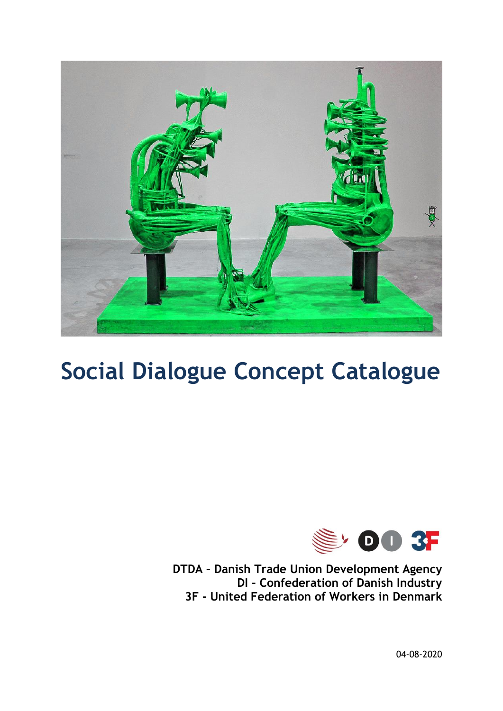

# **Social Dialogue Concept Catalogue**



**DTDA – Danish Trade Union Development Agency DI – Confederation of Danish Industry 3F - United Federation of Workers in Denmark** 

04-08-2020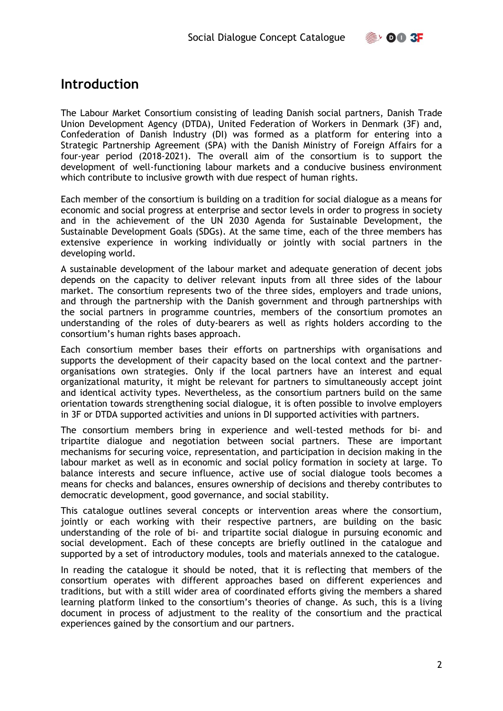# <span id="page-1-0"></span>**Introduction**

The Labour Market Consortium consisting of leading Danish social partners, Danish Trade Union Development Agency (DTDA), United Federation of Workers in Denmark (3F) and, Confederation of Danish Industry (DI) was formed as a platform for entering into a Strategic Partnership Agreement (SPA) with the Danish Ministry of Foreign Affairs for a four-year period (2018-2021). The overall aim of the consortium is to support the development of well-functioning labour markets and a conducive business environment which contribute to inclusive growth with due respect of human rights.

Each member of the consortium is building on a tradition for social dialogue as a means for economic and social progress at enterprise and sector levels in order to progress in society and in the achievement of the UN 2030 Agenda for Sustainable Development, the Sustainable Development Goals (SDGs). At the same time, each of the three members has extensive experience in working individually or jointly with social partners in the developing world.

A sustainable development of the labour market and adequate generation of decent jobs depends on the capacity to deliver relevant inputs from all three sides of the labour market. The consortium represents two of the three sides, employers and trade unions, and through the partnership with the Danish government and through partnerships with the social partners in programme countries, members of the consortium promotes an understanding of the roles of duty-bearers as well as rights holders according to the consortium's human rights bases approach.

Each consortium member bases their efforts on partnerships with organisations and supports the development of their capacity based on the local context and the partnerorganisations own strategies. Only if the local partners have an interest and equal organizational maturity, it might be relevant for partners to simultaneously accept joint and identical activity types. Nevertheless, as the consortium partners build on the same orientation towards strengthening social dialogue, it is often possible to involve employers in 3F or DTDA supported activities and unions in DI supported activities with partners.

The consortium members bring in experience and well-tested methods for bi- and tripartite dialogue and negotiation between social partners. These are important mechanisms for securing voice, representation, and participation in decision making in the labour market as well as in economic and social policy formation in society at large. To balance interests and secure influence, active use of social dialogue tools becomes a means for checks and balances, ensures ownership of decisions and thereby contributes to democratic development, good governance, and social stability.

This catalogue outlines several concepts or intervention areas where the consortium, jointly or each working with their respective partners, are building on the basic understanding of the role of bi- and tripartite social dialogue in pursuing economic and social development. Each of these concepts are briefly outlined in the catalogue and supported by a set of introductory modules, tools and materials annexed to the catalogue.

In reading the catalogue it should be noted, that it is reflecting that members of the consortium operates with different approaches based on different experiences and traditions, but with a still wider area of coordinated efforts giving the members a shared learning platform linked to the consortium's theories of change. As such, this is a living document in process of adjustment to the reality of the consortium and the practical experiences gained by the consortium and our partners.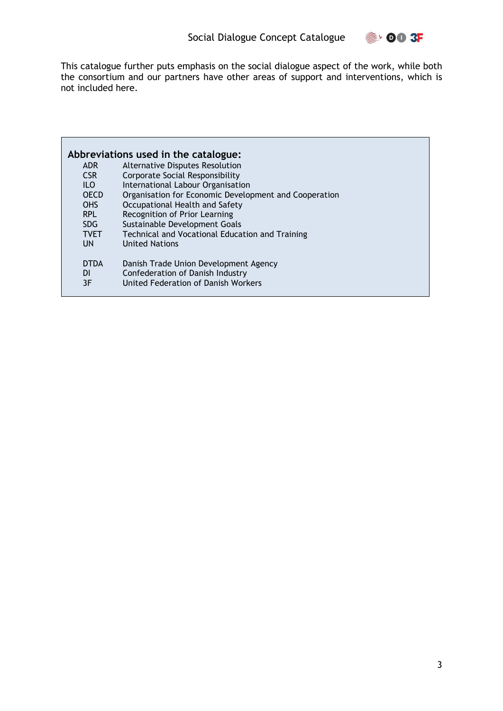

This catalogue further puts emphasis on the social dialogue aspect of the work, while both the consortium and our partners have other areas of support and interventions, which is not included here.

|                  | Abbreviations used in the catalogue:                  |
|------------------|-------------------------------------------------------|
| <b>ADR</b>       | Alternative Disputes Resolution                       |
| CSR.             | Corporate Social Responsibility                       |
| ILO <sub>.</sub> | International Labour Organisation                     |
| <b>OECD</b>      | Organisation for Economic Development and Cooperation |
| <b>OHS</b>       | Occupational Health and Safety                        |
| <b>RPL</b>       | Recognition of Prior Learning                         |
| SDG.             | Sustainable Development Goals                         |
| <b>TVET</b>      | Technical and Vocational Education and Training       |
| UN.              | <b>United Nations</b>                                 |
| <b>DTDA</b>      | Danish Trade Union Development Agency                 |
| <b>DI</b>        | Confederation of Danish Industry                      |
| 3F               | United Federation of Danish Workers                   |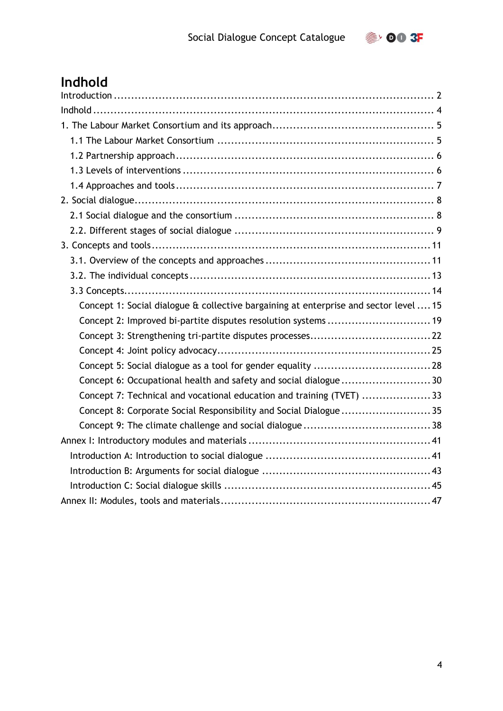

# <span id="page-3-0"></span>**Indhold**

| Concept 1: Social dialogue & collective bargaining at enterprise and sector level  15 |
|---------------------------------------------------------------------------------------|
| Concept 2: Improved bi-partite disputes resolution systems  19                        |
|                                                                                       |
|                                                                                       |
|                                                                                       |
| Concept 6: Occupational health and safety and social dialogue30                       |
| Concept 7: Technical and vocational education and training (TVET) 33                  |
| Concept 8: Corporate Social Responsibility and Social Dialogue35                      |
|                                                                                       |
|                                                                                       |
|                                                                                       |
|                                                                                       |
|                                                                                       |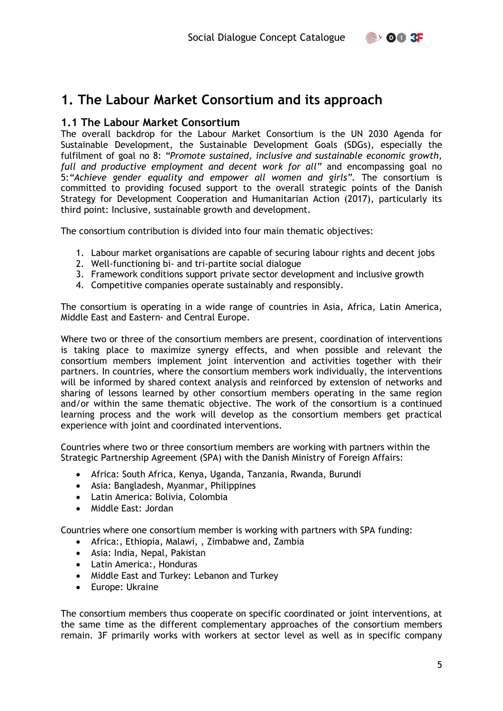

# <span id="page-4-0"></span>**1. The Labour Market Consortium and its approach**

#### <span id="page-4-1"></span>**1.1 The Labour Market Consortium**

The overall backdrop for the Labour Market Consortium is the UN 2030 Agenda for Sustainable Development, the Sustainable Development Goals (SDGs), especially the fulfilment of goal no 8: *"Promote sustained, inclusive and sustainable economic growth, full and productive employment and decent work for all"* and encompassing goal no 5:*"Achieve gender equality and empower all women and girls".* The consortium is committed to providing focused support to the overall strategic points of the Danish Strategy for Development Cooperation and Humanitarian Action (2017), particularly its third point: Inclusive, sustainable growth and development.

The consortium contribution is divided into four main thematic objectives:

- 1. Labour market organisations are capable of securing labour rights and decent jobs
- 2. Well-functioning bi- and tri-partite social dialogue
- 3. Framework conditions support private sector development and inclusive growth
- 4. Competitive companies operate sustainably and responsibly.

The consortium is operating in a wide range of countries in Asia, Africa, Latin America, Middle East and Eastern- and Central Europe.

Where two or three of the consortium members are present, coordination of interventions is taking place to maximize synergy effects, and when possible and relevant the consortium members implement joint intervention and activities together with their partners. In countries, where the consortium members work individually, the interventions will be informed by shared context analysis and reinforced by extension of networks and sharing of lessons learned by other consortium members operating in the same region and/or within the same thematic objective. The work of the consortium is a continued learning process and the work will develop as the consortium members get practical experience with joint and coordinated interventions.

Countries where two or three consortium members are working with partners within the Strategic Partnership Agreement (SPA) with the Danish Ministry of Foreign Affairs:

- Africa: South Africa, Kenya, Uganda, Tanzania, Rwanda, Burundi
- Asia: Bangladesh, Myanmar, Philippines
- Latin America: Bolivia, Colombia
- Middle East: Jordan

Countries where one consortium member is working with partners with SPA funding:

- Africa:, Ethiopia, Malawi, , Zimbabwe and, Zambia
- Asia: India, Nepal, Pakistan
- Latin America:, Honduras
- Middle East and Turkey: Lebanon and Turkey
- Europe: Ukraine

The consortium members thus cooperate on specific coordinated or joint interventions, at the same time as the different complementary approaches of the consortium members remain. 3F primarily works with workers at sector level as well as in specific company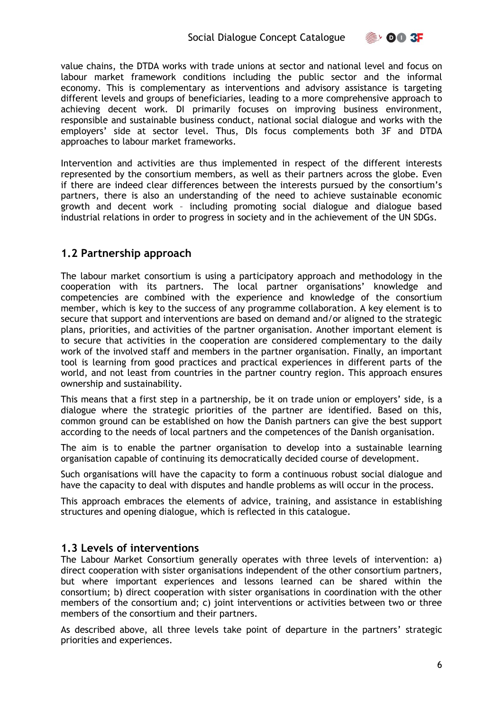

value chains, the DTDA works with trade unions at sector and national level and focus on labour market framework conditions including the public sector and the informal economy. This is complementary as interventions and advisory assistance is targeting different levels and groups of beneficiaries, leading to a more comprehensive approach to achieving decent work. DI primarily focuses on improving business environment, responsible and sustainable business conduct, national social dialogue and works with the employers' side at sector level. Thus, DIs focus complements both 3F and DTDA approaches to labour market frameworks.

Intervention and activities are thus implemented in respect of the different interests represented by the consortium members, as well as their partners across the globe. Even if there are indeed clear differences between the interests pursued by the consortium's partners, there is also an understanding of the need to achieve sustainable economic growth and decent work – including promoting social dialogue and dialogue based industrial relations in order to progress in society and in the achievement of the UN SDGs.

#### <span id="page-5-0"></span>**1.2 Partnership approach**

The labour market consortium is using a participatory approach and methodology in the cooperation with its partners. The local partner organisations' knowledge and competencies are combined with the experience and knowledge of the consortium member, which is key to the success of any programme collaboration. A key element is to secure that support and interventions are based on demand and/or aligned to the strategic plans, priorities, and activities of the partner organisation. Another important element is to secure that activities in the cooperation are considered complementary to the daily work of the involved staff and members in the partner organisation. Finally, an important tool is learning from good practices and practical experiences in different parts of the world, and not least from countries in the partner country region. This approach ensures ownership and sustainability.

This means that a first step in a partnership, be it on trade union or employers' side, is a dialogue where the strategic priorities of the partner are identified. Based on this, common ground can be established on how the Danish partners can give the best support according to the needs of local partners and the competences of the Danish organisation.

The aim is to enable the partner organisation to develop into a sustainable learning organisation capable of continuing its democratically decided course of development.

Such organisations will have the capacity to form a continuous robust social dialogue and have the capacity to deal with disputes and handle problems as will occur in the process.

This approach embraces the elements of advice, training, and assistance in establishing structures and opening dialogue, which is reflected in this catalogue.

#### <span id="page-5-1"></span>**1.3 Levels of interventions**

The Labour Market Consortium generally operates with three levels of intervention: a) direct cooperation with sister organisations independent of the other consortium partners, but where important experiences and lessons learned can be shared within the consortium; b) direct cooperation with sister organisations in coordination with the other members of the consortium and; c) joint interventions or activities between two or three members of the consortium and their partners.

As described above, all three levels take point of departure in the partners' strategic priorities and experiences.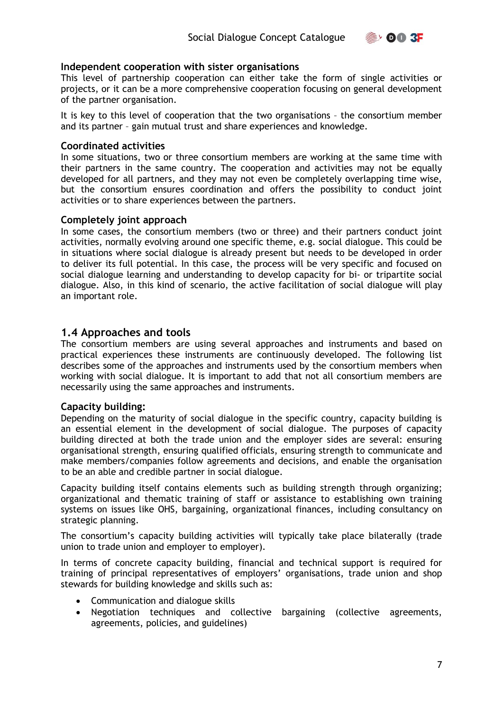$\geq$  00 3F

#### **Independent cooperation with sister organisations**

This level of partnership cooperation can either take the form of single activities or projects, or it can be a more comprehensive cooperation focusing on general development of the partner organisation.

It is key to this level of cooperation that the two organisations – the consortium member and its partner – gain mutual trust and share experiences and knowledge.

#### **Coordinated activities**

In some situations, two or three consortium members are working at the same time with their partners in the same country. The cooperation and activities may not be equally developed for all partners, and they may not even be completely overlapping time wise, but the consortium ensures coordination and offers the possibility to conduct joint activities or to share experiences between the partners.

#### **Completely joint approach**

In some cases, the consortium members (two or three) and their partners conduct joint activities, normally evolving around one specific theme, e.g. social dialogue. This could be in situations where social dialogue is already present but needs to be developed in order to deliver its full potential. In this case, the process will be very specific and focused on social dialogue learning and understanding to develop capacity for bi- or tripartite social dialogue. Also, in this kind of scenario, the active facilitation of social dialogue will play an important role.

#### <span id="page-6-0"></span>**1.4 Approaches and tools**

The consortium members are using several approaches and instruments and based on practical experiences these instruments are continuously developed. The following list describes some of the approaches and instruments used by the consortium members when working with social dialogue. It is important to add that not all consortium members are necessarily using the same approaches and instruments.

#### **Capacity building:**

Depending on the maturity of social dialogue in the specific country, capacity building is an essential element in the development of social dialogue. The purposes of capacity building directed at both the trade union and the employer sides are several: ensuring organisational strength, ensuring qualified officials, ensuring strength to communicate and make members/companies follow agreements and decisions, and enable the organisation to be an able and credible partner in social dialogue.

Capacity building itself contains elements such as building strength through organizing; organizational and thematic training of staff or assistance to establishing own training systems on issues like OHS, bargaining, organizational finances, including consultancy on strategic planning.

The consortium's capacity building activities will typically take place bilaterally (trade union to trade union and employer to employer).

In terms of concrete capacity building, financial and technical support is required for training of principal representatives of employers' organisations, trade union and shop stewards for building knowledge and skills such as:

- Communication and dialogue skills
- Negotiation techniques and collective bargaining (collective agreements, agreements, policies, and guidelines)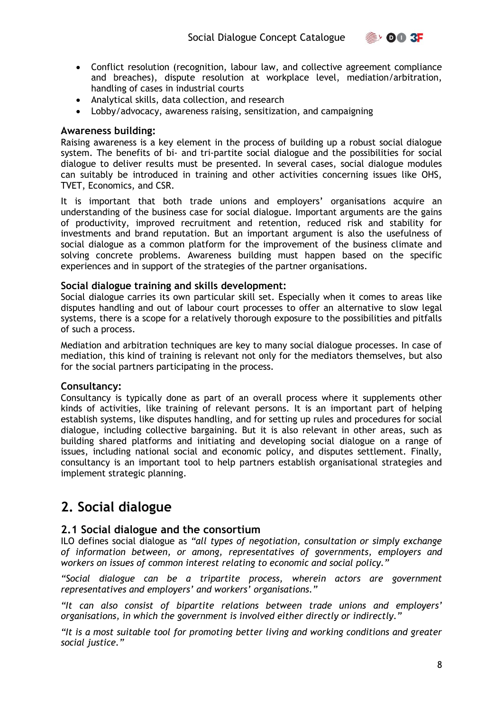

- Conflict resolution (recognition, labour law, and collective agreement compliance and breaches), dispute resolution at workplace level, mediation/arbitration, handling of cases in industrial courts
- Analytical skills, data collection, and research
- Lobby/advocacy, awareness raising, sensitization, and campaigning

#### **Awareness building:**

Raising awareness is a key element in the process of building up a robust social dialogue system. The benefits of bi- and tri-partite social dialogue and the possibilities for social dialogue to deliver results must be presented. In several cases, social dialogue modules can suitably be introduced in training and other activities concerning issues like OHS, TVET, Economics, and CSR.

It is important that both trade unions and employers' organisations acquire an understanding of the business case for social dialogue. Important arguments are the gains of productivity, improved recruitment and retention, reduced risk and stability for investments and brand reputation. But an important argument is also the usefulness of social dialogue as a common platform for the improvement of the business climate and solving concrete problems. Awareness building must happen based on the specific experiences and in support of the strategies of the partner organisations.

#### **Social dialogue training and skills development:**

Social dialogue carries its own particular skill set. Especially when it comes to areas like disputes handling and out of labour court processes to offer an alternative to slow legal systems, there is a scope for a relatively thorough exposure to the possibilities and pitfalls of such a process.

Mediation and arbitration techniques are key to many social dialogue processes. In case of mediation, this kind of training is relevant not only for the mediators themselves, but also for the social partners participating in the process.

#### **Consultancy:**

Consultancy is typically done as part of an overall process where it supplements other kinds of activities, like training of relevant persons. It is an important part of helping establish systems, like disputes handling, and for setting up rules and procedures for social dialogue, including collective bargaining. But it is also relevant in other areas, such as building shared platforms and initiating and developing social dialogue on a range of issues, including national social and economic policy, and disputes settlement. Finally, consultancy is an important tool to help partners establish organisational strategies and implement strategic planning.

# <span id="page-7-0"></span>**2. Social dialogue**

#### <span id="page-7-1"></span>**2.1 Social dialogue and the consortium**

ILO defines social dialogue as *"all types of negotiation, consultation or simply exchange of information between, or among, representatives of governments, employers and workers on issues of common interest relating to economic and social policy."* 

*"Social dialogue can be a tripartite process, wherein actors are government representatives and employers' and workers' organisations."* 

*"It can also consist of bipartite relations between trade unions and employers' organisations, in which the government is involved either directly or indirectly."* 

*"It is a most suitable tool for promoting better living and working conditions and greater social justice."*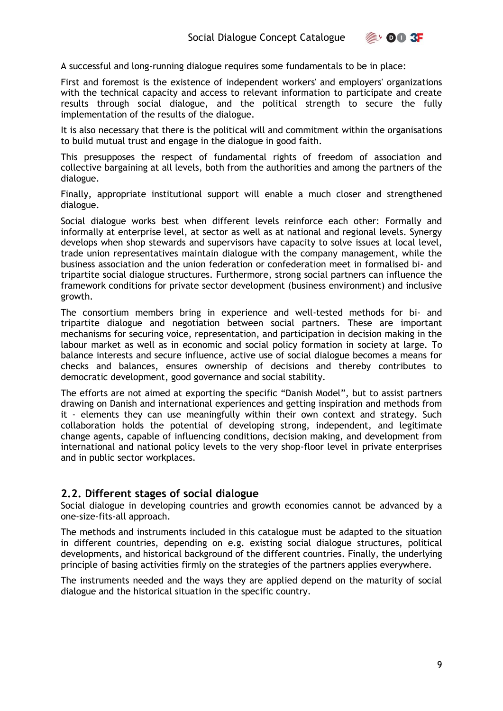$\geqslant$  00 3F

A successful and long-running dialogue requires some fundamentals to be in place:

First and foremost is the existence of independent workers' and employers' organizations with the technical capacity and access to relevant information to participate and create results through social dialogue, and the political strength to secure the fully implementation of the results of the dialogue.

It is also necessary that there is the political will and commitment within the organisations to build mutual trust and engage in the dialogue in good faith.

This presupposes the respect of fundamental rights of freedom of association and collective bargaining at all levels, both from the authorities and among the partners of the dialogue.

Finally, appropriate institutional support will enable a much closer and strengthened dialogue.

Social dialogue works best when different levels reinforce each other: Formally and informally at enterprise level, at sector as well as at national and regional levels. Synergy develops when shop stewards and supervisors have capacity to solve issues at local level, trade union representatives maintain dialogue with the company management, while the business association and the union federation or confederation meet in formalised bi- and tripartite social dialogue structures. Furthermore, strong social partners can influence the framework conditions for private sector development (business environment) and inclusive growth.

The consortium members bring in experience and well-tested methods for bi- and tripartite dialogue and negotiation between social partners. These are important mechanisms for securing voice, representation, and participation in decision making in the labour market as well as in economic and social policy formation in society at large. To balance interests and secure influence, active use of social dialogue becomes a means for checks and balances, ensures ownership of decisions and thereby contributes to democratic development, good governance and social stability.

The efforts are not aimed at exporting the specific "Danish Model", but to assist partners drawing on Danish and international experiences and getting inspiration and methods from it - elements they can use meaningfully within their own context and strategy. Such collaboration holds the potential of developing strong, independent, and legitimate change agents, capable of influencing conditions, decision making, and development from international and national policy levels to the very shop-floor level in private enterprises and in public sector workplaces.

#### <span id="page-8-0"></span>**2.2. Different stages of social dialogue**

Social dialogue in developing countries and growth economies cannot be advanced by a one-size-fits-all approach.

The methods and instruments included in this catalogue must be adapted to the situation in different countries, depending on e.g. existing social dialogue structures, political developments, and historical background of the different countries. Finally, the underlying principle of basing activities firmly on the strategies of the partners applies everywhere.

The instruments needed and the ways they are applied depend on the maturity of social dialogue and the historical situation in the specific country.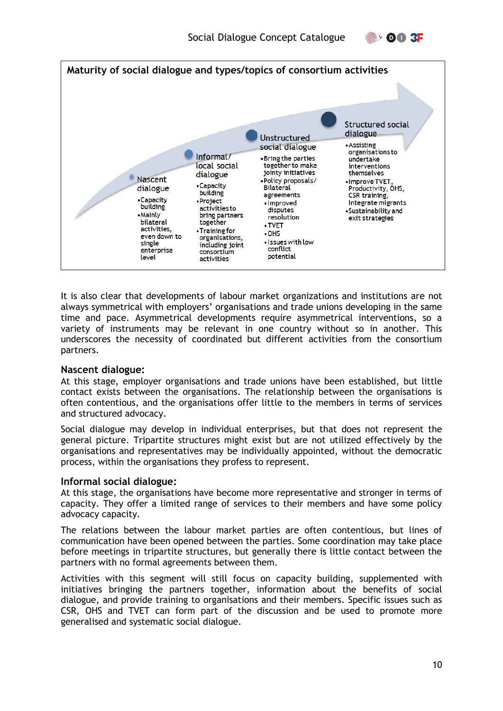



It is also clear that developments of labour market organizations and institutions are not always symmetrical with employers' organisations and trade unions developing in the same time and pace. Asymmetrical developments require asymmetrical interventions, so a variety of instruments may be relevant in one country without so in another. This underscores the necessity of coordinated but different activities from the consortium partners.

#### **Nascent dialogue:**

At this stage, employer organisations and trade unions have been established, but little contact exists between the organisations. The relationship between the organisations is often contentious, and the organisations offer little to the members in terms of services and structured advocacy.

Social dialogue may develop in individual enterprises, but that does not represent the general picture. Tripartite structures might exist but are not utilized effectively by the organisations and representatives may be individually appointed, without the democratic process, within the organisations they profess to represent.

#### **Informal social dialogue:**

At this stage, the organisations have become more representative and stronger in terms of capacity. They offer a limited range of services to their members and have some policy advocacy capacity.

The relations between the labour market parties are often contentious, but lines of communication have been opened between the parties. Some coordination may take place before meetings in tripartite structures, but generally there is little contact between the partners with no formal agreements between them.

Activities with this segment will still focus on capacity building, supplemented with initiatives bringing the partners together, information about the benefits of social dialogue, and provide training to organisations and their members. Specific issues such as CSR, OHS and TVET can form part of the discussion and be used to promote more generalised and systematic social dialogue.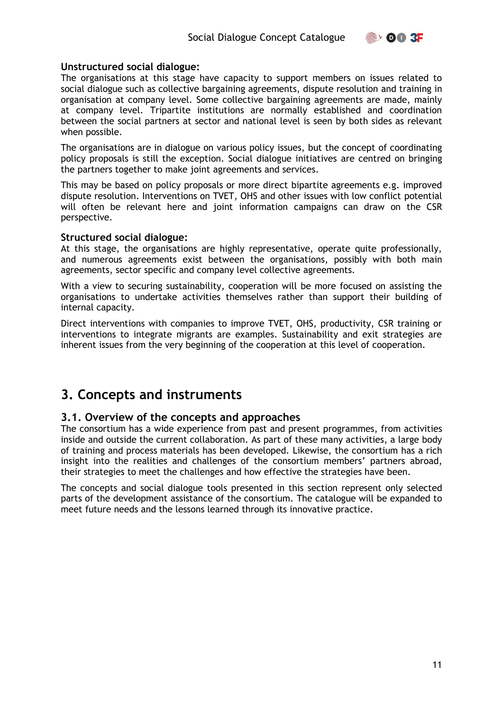

#### **Unstructured social dialogue:**

The organisations at this stage have capacity to support members on issues related to social dialogue such as collective bargaining agreements, dispute resolution and training in organisation at company level. Some collective bargaining agreements are made, mainly at company level. Tripartite institutions are normally established and coordination between the social partners at sector and national level is seen by both sides as relevant when possible.

The organisations are in dialogue on various policy issues, but the concept of coordinating policy proposals is still the exception. Social dialogue initiatives are centred on bringing the partners together to make joint agreements and services.

This may be based on policy proposals or more direct bipartite agreements e.g. improved dispute resolution. Interventions on TVET, OHS and other issues with low conflict potential will often be relevant here and joint information campaigns can draw on the CSR perspective.

#### **Structured social dialogue:**

At this stage, the organisations are highly representative, operate quite professionally, and numerous agreements exist between the organisations, possibly with both main agreements, sector specific and company level collective agreements.

With a view to securing sustainability, cooperation will be more focused on assisting the organisations to undertake activities themselves rather than support their building of internal capacity.

Direct interventions with companies to improve TVET, OHS, productivity, CSR training or interventions to integrate migrants are examples. Sustainability and exit strategies are inherent issues from the very beginning of the cooperation at this level of cooperation.

## <span id="page-10-0"></span>**3. Concepts and instruments**

#### <span id="page-10-1"></span>**3.1. Overview of the concepts and approaches**

The consortium has a wide experience from past and present programmes, from activities inside and outside the current collaboration. As part of these many activities, a large body of training and process materials has been developed. Likewise, the consortium has a rich insight into the realities and challenges of the consortium members' partners abroad, their strategies to meet the challenges and how effective the strategies have been.

The concepts and social dialogue tools presented in this section represent only selected parts of the development assistance of the consortium. The catalogue will be expanded to meet future needs and the lessons learned through its innovative practice.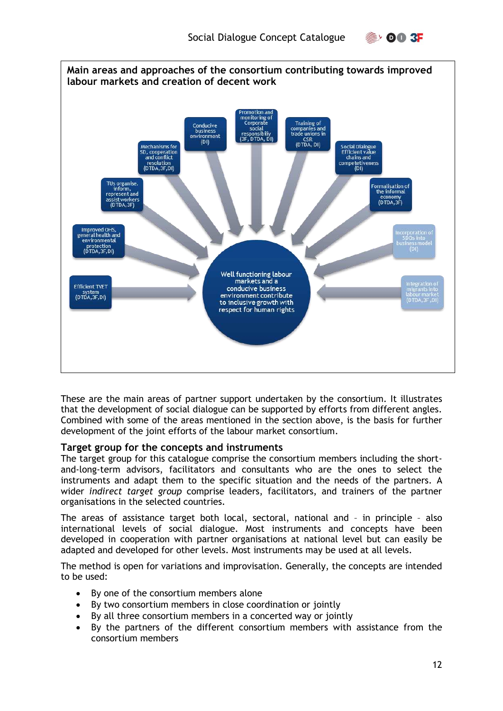



These are the main areas of partner support undertaken by the consortium. It illustrates that the development of social dialogue can be supported by efforts from different angles. Combined with some of the areas mentioned in the section above, is the basis for further development of the joint efforts of the labour market consortium.

#### **Target group for the concepts and instruments**

The target group for this catalogue comprise the consortium members including the shortand-long-term advisors, facilitators and consultants who are the ones to select the instruments and adapt them to the specific situation and the needs of the partners. A wider *indirect target group* comprise leaders, facilitators, and trainers of the partner organisations in the selected countries.

The areas of assistance target both local, sectoral, national and – in principle – also international levels of social dialogue. Most instruments and concepts have been developed in cooperation with partner organisations at national level but can easily be adapted and developed for other levels. Most instruments may be used at all levels.

The method is open for variations and improvisation. Generally, the concepts are intended to be used:

- By one of the consortium members alone
- By two consortium members in close coordination or jointly
- By all three consortium members in a concerted way or jointly
- By the partners of the different consortium members with assistance from the consortium members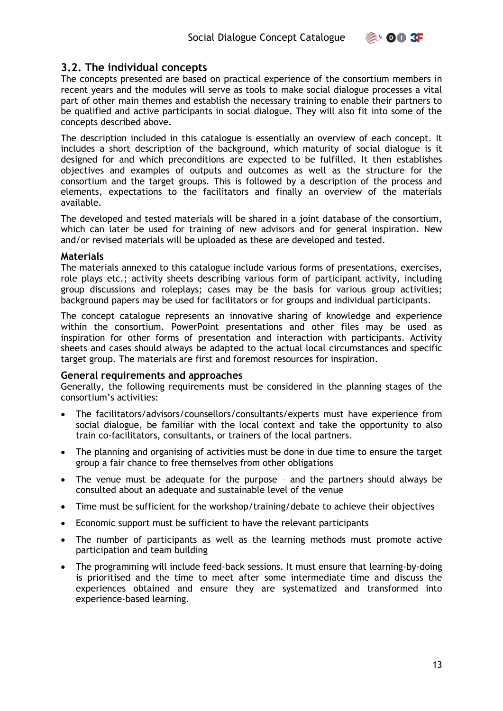

#### <span id="page-12-0"></span>**3.2. The individual concepts**

The concepts presented are based on practical experience of the consortium members in recent years and the modules will serve as tools to make social dialogue processes a vital part of other main themes and establish the necessary training to enable their partners to be qualified and active participants in social dialogue. They will also fit into some of the concepts described above.

The description included in this catalogue is essentially an overview of each concept. It includes a short description of the background, which maturity of social dialogue is it designed for and which preconditions are expected to be fulfilled. It then establishes objectives and examples of outputs and outcomes as well as the structure for the consortium and the target groups. This is followed by a description of the process and elements, expectations to the facilitators and finally an overview of the materials available.

The developed and tested materials will be shared in a joint database of the consortium, which can later be used for training of new advisors and for general inspiration. New and/or revised materials will be uploaded as these are developed and tested.

#### **Materials**

The materials annexed to this catalogue include various forms of presentations, exercises, role plays etc.; activity sheets describing various form of participant activity, including group discussions and roleplays; cases may be the basis for various group activities; background papers may be used for facilitators or for groups and individual participants.

The concept catalogue represents an innovative sharing of knowledge and experience within the consortium. PowerPoint presentations and other files may be used as inspiration for other forms of presentation and interaction with participants. Activity sheets and cases should always be adapted to the actual local circumstances and specific target group. The materials are first and foremost resources for inspiration.

#### **General requirements and approaches**

Generally, the following requirements must be considered in the planning stages of the consortium's activities:

- The facilitators/advisors/counsellors/consultants/experts must have experience from social dialogue, be familiar with the local context and take the opportunity to also train co-facilitators, consultants, or trainers of the local partners.
- The planning and organising of activities must be done in due time to ensure the target group a fair chance to free themselves from other obligations
- The venue must be adequate for the purpose and the partners should always be consulted about an adequate and sustainable level of the venue
- Time must be sufficient for the workshop/training/debate to achieve their objectives
- Economic support must be sufficient to have the relevant participants
- The number of participants as well as the learning methods must promote active participation and team building
- The programming will include feed-back sessions. It must ensure that learning-by-doing is prioritised and the time to meet after some intermediate time and discuss the experiences obtained and ensure they are systematized and transformed into experience-based learning.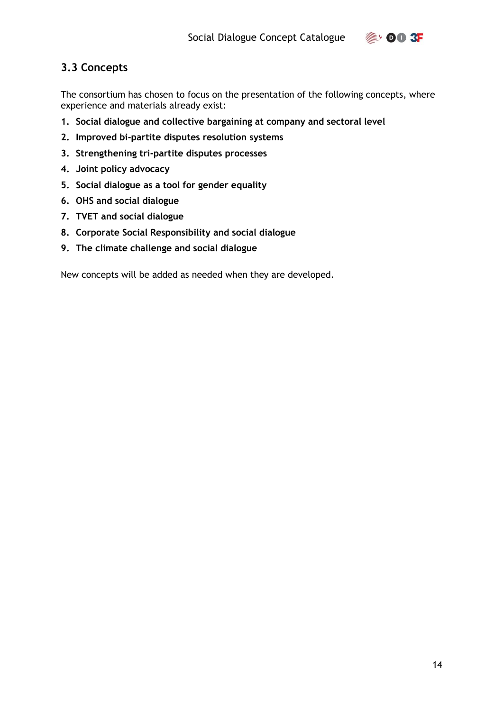## **OO 3F**

### <span id="page-13-0"></span>**3.3 Concepts**

The consortium has chosen to focus on the presentation of the following concepts, where experience and materials already exist:

- **1. Social dialogue and collective bargaining at company and sectoral level**
- **2. Improved bi-partite disputes resolution systems**
- **3. Strengthening tri-partite disputes processes**
- **4. Joint policy advocacy**
- **5. Social dialogue as a tool for gender equality**
- **6. OHS and social dialogue**
- **7. TVET and social dialogue**
- **8. Corporate Social Responsibility and social dialogue**
- **9. The climate challenge and social dialogue**

New concepts will be added as needed when they are developed.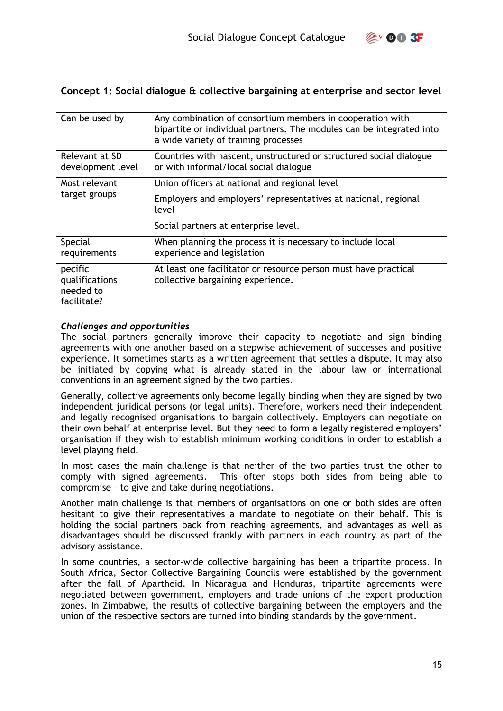

<span id="page-14-0"></span>

| Concept 1: Social dialogue & collective bargaining at enterprise and sector level |                                                                                                                                                                           |  |
|-----------------------------------------------------------------------------------|---------------------------------------------------------------------------------------------------------------------------------------------------------------------------|--|
| Can be used by                                                                    | Any combination of consortium members in cooperation with<br>bipartite or individual partners. The modules can be integrated into<br>a wide variety of training processes |  |
| Relevant at SD<br>development level                                               | Countries with nascent, unstructured or structured social dialogue<br>or with informal/local social dialogue                                                              |  |
| Most relevant                                                                     | Union officers at national and regional level                                                                                                                             |  |
| target groups                                                                     | Employers and employers' representatives at national, regional<br>level                                                                                                   |  |
|                                                                                   | Social partners at enterprise level.                                                                                                                                      |  |
| Special<br>requirements                                                           | When planning the process it is necessary to include local<br>experience and legislation                                                                                  |  |
| pecific<br>qualifications<br>needed to<br>facilitate?                             | At least one facilitator or resource person must have practical<br>collective bargaining experience.                                                                      |  |

#### *Challenges and opportunities*

The social partners generally improve their capacity to negotiate and sign binding agreements with one another based on a stepwise achievement of successes and positive experience. It sometimes starts as a written agreement that settles a dispute. It may also be initiated by copying what is already stated in the labour law or international conventions in an agreement signed by the two parties.

Generally, collective agreements only become legally binding when they are signed by two independent juridical persons (or legal units). Therefore, workers need their independent and legally recognised organisations to bargain collectively. Employers can negotiate on their own behalf at enterprise level. But they need to form a legally registered employers' organisation if they wish to establish minimum working conditions in order to establish a level playing field.

In most cases the main challenge is that neither of the two parties trust the other to comply with signed agreements. This often stops both sides from being able to compromise – to give and take during negotiations.

Another main challenge is that members of organisations on one or both sides are often hesitant to give their representatives a mandate to negotiate on their behalf. This is holding the social partners back from reaching agreements, and advantages as well as disadvantages should be discussed frankly with partners in each country as part of the advisory assistance.

In some countries, a sector-wide collective bargaining has been a tripartite process. In South Africa, Sector Collective Bargaining Councils were established by the government after the fall of Apartheid. In Nicaragua and Honduras, tripartite agreements were negotiated between government, employers and trade unions of the export production zones. In Zimbabwe, the results of collective bargaining between the employers and the union of the respective sectors are turned into binding standards by the government.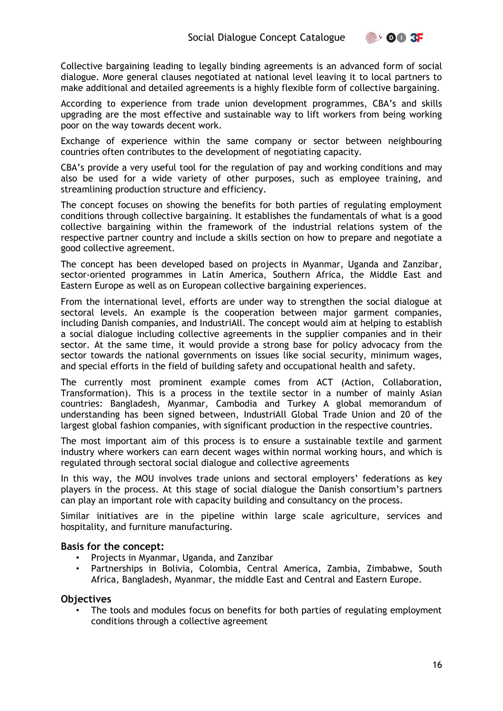$\geqslant$  00 3F

Collective bargaining leading to legally binding agreements is an advanced form of social dialogue. More general clauses negotiated at national level leaving it to local partners to make additional and detailed agreements is a highly flexible form of collective bargaining.

According to experience from trade union development programmes, CBA's and skills upgrading are the most effective and sustainable way to lift workers from being working poor on the way towards decent work.

Exchange of experience within the same company or sector between neighbouring countries often contributes to the development of negotiating capacity.

CBA's provide a very useful tool for the regulation of pay and working conditions and may also be used for a wide variety of other purposes, such as employee training, and streamlining production structure and efficiency.

The concept focuses on showing the benefits for both parties of regulating employment conditions through collective bargaining. It establishes the fundamentals of what is a good collective bargaining within the framework of the industrial relations system of the respective partner country and include a skills section on how to prepare and negotiate a good collective agreement.

The concept has been developed based on projects in Myanmar, Uganda and Zanzibar, sector-oriented programmes in Latin America, Southern Africa, the Middle East and Eastern Europe as well as on European collective bargaining experiences.

From the international level, efforts are under way to strengthen the social dialogue at sectoral levels. An example is the cooperation between major garment companies, including Danish companies, and IndustriAll. The concept would aim at helping to establish a social dialogue including collective agreements in the supplier companies and in their sector. At the same time, it would provide a strong base for policy advocacy from the sector towards the national governments on issues like social security, minimum wages, and special efforts in the field of building safety and occupational health and safety.

The currently most prominent example comes from ACT (Action, Collaboration, Transformation). This is a process in the textile sector in a number of mainly Asian countries: Bangladesh, Myanmar, Cambodia and Turkey A global memorandum of understanding has been signed between, IndustriAll Global Trade Union and 20 of the largest global fashion companies, with significant production in the respective countries.

The most important aim of this process is to ensure a sustainable textile and garment industry where workers can earn decent wages within normal working hours, and which is regulated through sectoral social dialogue and collective agreements

In this way, the MOU involves trade unions and sectoral employers' federations as key players in the process. At this stage of social dialogue the Danish consortium's partners can play an important role with capacity building and consultancy on the process.

Similar initiatives are in the pipeline within large scale agriculture, services and hospitality, and furniture manufacturing.

#### **Basis for the concept:**

- Projects in Myanmar, Uganda, and Zanzibar
- Partnerships in Bolivia, Colombia, Central America, Zambia, Zimbabwe, South Africa, Bangladesh, Myanmar, the middle East and Central and Eastern Europe.

#### **Objectives**

The tools and modules focus on benefits for both parties of regulating employment conditions through a collective agreement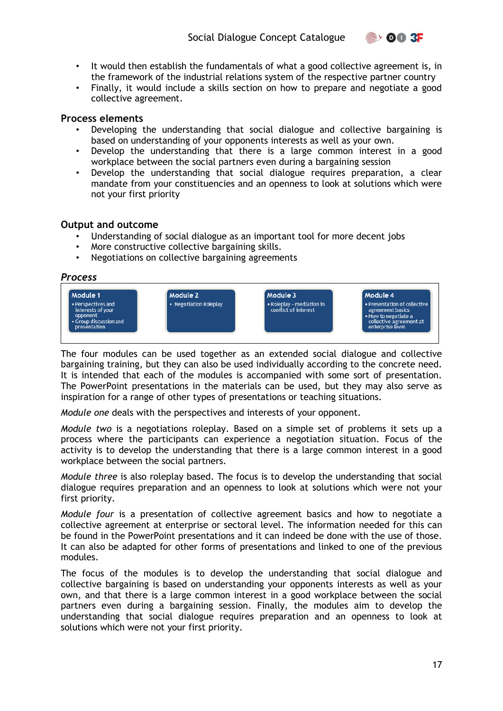

- It would then establish the fundamentals of what a good collective agreement is, in the framework of the industrial relations system of the respective partner country
- Finally, it would include a skills section on how to prepare and negotiate a good collective agreement.

#### **Process elements**

- Developing the understanding that social dialogue and collective bargaining is based on understanding of your opponents interests as well as your own.
- Develop the understanding that there is a large common interest in a good workplace between the social partners even during a bargaining session
- Develop the understanding that social dialogue requires preparation, a clear mandate from your constituencies and an openness to look at solutions which were not your first priority

#### **Output and outcome**

- Understanding of social dialogue as an important tool for more decent jobs
- More constructive collective bargaining skills.
- Negotiations on collective bargaining agreements

*Process* 



The four modules can be used together as an extended social dialogue and collective bargaining training, but they can also be used individually according to the concrete need. It is intended that each of the modules is accompanied with some sort of presentation. The PowerPoint presentations in the materials can be used, but they may also serve as inspiration for a range of other types of presentations or teaching situations.

*Module one* deals with the perspectives and interests of your opponent.

*Module two* is a negotiations roleplay. Based on a simple set of problems it sets up a process where the participants can experience a negotiation situation. Focus of the activity is to develop the understanding that there is a large common interest in a good workplace between the social partners.

*Module three* is also roleplay based. The focus is to develop the understanding that social dialogue requires preparation and an openness to look at solutions which were not your first priority.

*Module four* is a presentation of collective agreement basics and how to negotiate a collective agreement at enterprise or sectoral level. The information needed for this can be found in the PowerPoint presentations and it can indeed be done with the use of those. It can also be adapted for other forms of presentations and linked to one of the previous modules.

The focus of the modules is to develop the understanding that social dialogue and collective bargaining is based on understanding your opponents interests as well as your own, and that there is a large common interest in a good workplace between the social partners even during a bargaining session. Finally, the modules aim to develop the understanding that social dialogue requires preparation and an openness to look at solutions which were not your first priority.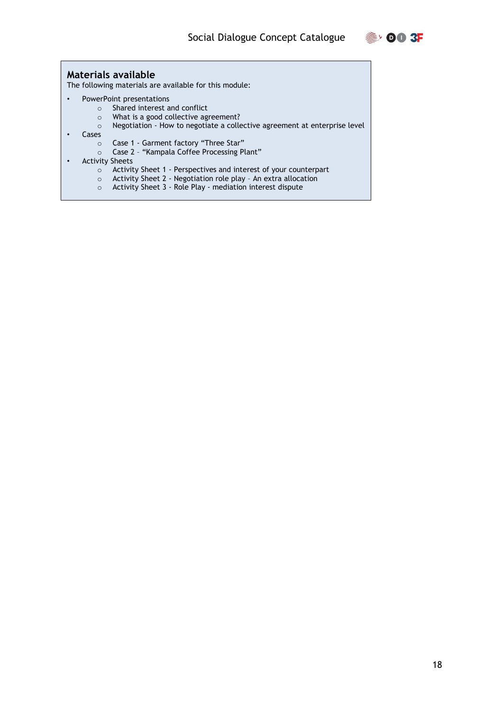

#### **Materials available**

The following materials are available for this module:

- PowerPoint presentations
	- o Shared interest and conflict
	- o What is a good collective agreement?
	- o Negotiation How to negotiate a collective agreement at enterprise level
- Cases
	- o Case 1 Garment factory "Three Star"
	- o Case 2 "Kampala Coffee Processing Plant"
- Activity Sheets
	- o Activity Sheet 1 Perspectives and interest of your counterpart
	- o Activity Sheet 2 Negotiation role play An extra allocation
	- o Activity Sheet 3 Role Play mediation interest dispute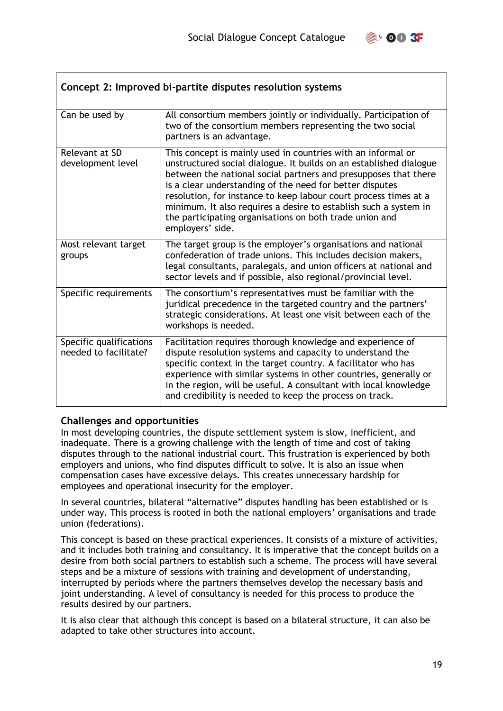

<span id="page-18-0"></span>

| Concept 2: Improved bi-partite disputes resolution systems |                                                                                                                                                                                                                                                                                                                                                                                                                                                                                          |  |
|------------------------------------------------------------|------------------------------------------------------------------------------------------------------------------------------------------------------------------------------------------------------------------------------------------------------------------------------------------------------------------------------------------------------------------------------------------------------------------------------------------------------------------------------------------|--|
| Can be used by                                             | All consortium members jointly or individually. Participation of<br>two of the consortium members representing the two social<br>partners is an advantage.                                                                                                                                                                                                                                                                                                                               |  |
| Relevant at SD<br>development level                        | This concept is mainly used in countries with an informal or<br>unstructured social dialogue. It builds on an established dialogue<br>between the national social partners and presupposes that there<br>is a clear understanding of the need for better disputes<br>resolution, for instance to keep labour court process times at a<br>minimum. It also requires a desire to establish such a system in<br>the participating organisations on both trade union and<br>employers' side. |  |
| Most relevant target<br>groups                             | The target group is the employer's organisations and national<br>confederation of trade unions. This includes decision makers,<br>legal consultants, paralegals, and union officers at national and<br>sector levels and if possible, also regional/provincial level.                                                                                                                                                                                                                    |  |
| Specific requirements                                      | The consortium's representatives must be familiar with the<br>juridical precedence in the targeted country and the partners'<br>strategic considerations. At least one visit between each of the<br>workshops is needed.                                                                                                                                                                                                                                                                 |  |
| Specific qualifications<br>needed to facilitate?           | Facilitation requires thorough knowledge and experience of<br>dispute resolution systems and capacity to understand the<br>specific context in the target country. A facilitator who has<br>experience with similar systems in other countries, generally or<br>in the region, will be useful. A consultant with local knowledge<br>and credibility is needed to keep the process on track.                                                                                              |  |

#### **Challenges and opportunities**

In most developing countries, the dispute settlement system is slow, inefficient, and inadequate. There is a growing challenge with the length of time and cost of taking disputes through to the national industrial court. This frustration is experienced by both employers and unions, who find disputes difficult to solve. It is also an issue when compensation cases have excessive delays. This creates unnecessary hardship for employees and operational insecurity for the employer.

In several countries, bilateral "alternative" disputes handling has been established or is under way. This process is rooted in both the national employers' organisations and trade union (federations).

This concept is based on these practical experiences. It consists of a mixture of activities, and it includes both training and consultancy. It is imperative that the concept builds on a desire from both social partners to establish such a scheme. The process will have several steps and be a mixture of sessions with training and development of understanding, interrupted by periods where the partners themselves develop the necessary basis and joint understanding. A level of consultancy is needed for this process to produce the results desired by our partners.

It is also clear that although this concept is based on a bilateral structure, it can also be adapted to take other structures into account.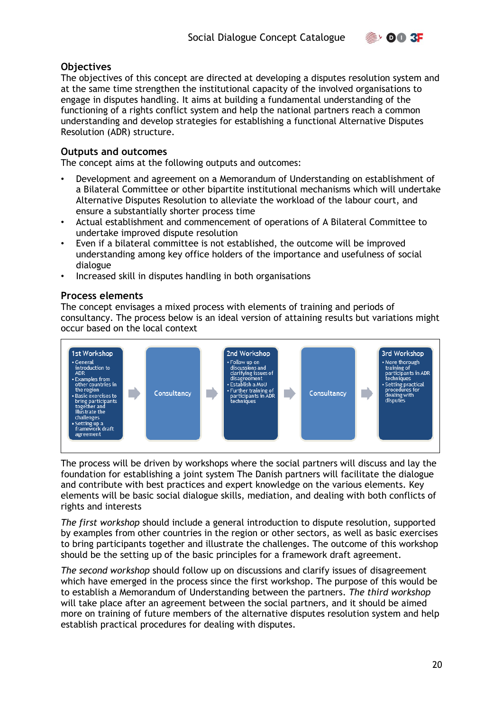

#### **Objectives**

The objectives of this concept are directed at developing a disputes resolution system and at the same time strengthen the institutional capacity of the involved organisations to engage in disputes handling. It aims at building a fundamental understanding of the functioning of a rights conflict system and help the national partners reach a common understanding and develop strategies for establishing a functional Alternative Disputes Resolution (ADR) structure.

#### **Outputs and outcomes**

The concept aims at the following outputs and outcomes:

- Development and agreement on a Memorandum of Understanding on establishment of a Bilateral Committee or other bipartite institutional mechanisms which will undertake Alternative Disputes Resolution to alleviate the workload of the labour court, and ensure a substantially shorter process time
- Actual establishment and commencement of operations of A Bilateral Committee to undertake improved dispute resolution
- Even if a bilateral committee is not established, the outcome will be improved understanding among key office holders of the importance and usefulness of social dialogue
- Increased skill in disputes handling in both organisations

#### **Process elements**

The concept envisages a mixed process with elements of training and periods of consultancy. The process below is an ideal version of attaining results but variations might occur based on the local context



The process will be driven by workshops where the social partners will discuss and lay the foundation for establishing a joint system The Danish partners will facilitate the dialogue and contribute with best practices and expert knowledge on the various elements. Key elements will be basic social dialogue skills, mediation, and dealing with both conflicts of rights and interests

*The first workshop* should include a general introduction to dispute resolution, supported by examples from other countries in the region or other sectors, as well as basic exercises to bring participants together and illustrate the challenges. The outcome of this workshop should be the setting up of the basic principles for a framework draft agreement.

*The second workshop* should follow up on discussions and clarify issues of disagreement which have emerged in the process since the first workshop. The purpose of this would be to establish a Memorandum of Understanding between the partners. *The third workshop*  will take place after an agreement between the social partners, and it should be aimed more on training of future members of the alternative disputes resolution system and help establish practical procedures for dealing with disputes.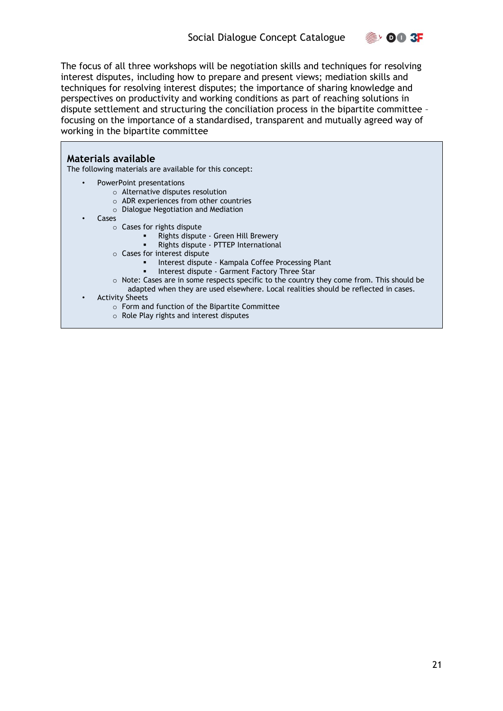

The focus of all three workshops will be negotiation skills and techniques for resolving interest disputes, including how to prepare and present views; mediation skills and techniques for resolving interest disputes; the importance of sharing knowledge and perspectives on productivity and working conditions as part of reaching solutions in dispute settlement and structuring the conciliation process in the bipartite committee – focusing on the importance of a standardised, transparent and mutually agreed way of working in the bipartite committee

#### **Materials available**

The following materials are available for this concept:

- PowerPoint presentations
	- o Alternative disputes resolution
	- o ADR experiences from other countries
	- o Dialogue Negotiation and Mediation
- **Cases** 
	- o Cases for rights dispute
		- Rights dispute Green Hill Brewery
		- Rights dispute PTTEP International
	- o Cases for interest dispute
		- Interest dispute Kampala Coffee Processing Plant
		- **·** Interest dispute Garment Factory Three Star
		- $\circ$  Note: Cases are in some respects specific to the country they come from. This should be adapted when they are used elsewhere. Local realities should be reflected in cases.
- Activity Sheets
	- o Form and function of the Bipartite Committee
	- o Role Play rights and interest disputes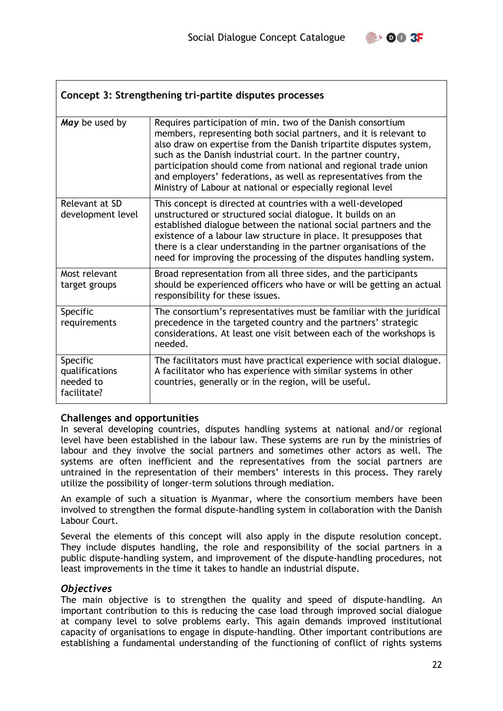

<span id="page-21-0"></span>

| Concept 3: Strengthening tri-partite disputes processes |                                                                                                                                                                                                                                                                                                                                                                                                                                                                              |  |
|---------------------------------------------------------|------------------------------------------------------------------------------------------------------------------------------------------------------------------------------------------------------------------------------------------------------------------------------------------------------------------------------------------------------------------------------------------------------------------------------------------------------------------------------|--|
| May be used by                                          | Requires participation of min. two of the Danish consortium<br>members, representing both social partners, and it is relevant to<br>also draw on expertise from the Danish tripartite disputes system,<br>such as the Danish industrial court. In the partner country,<br>participation should come from national and regional trade union<br>and employers' federations, as well as representatives from the<br>Ministry of Labour at national or especially regional level |  |
| Relevant at SD<br>development level                     | This concept is directed at countries with a well-developed<br>unstructured or structured social dialogue. It builds on an<br>established dialogue between the national social partners and the<br>existence of a labour law structure in place. It presupposes that<br>there is a clear understanding in the partner organisations of the<br>need for improving the processing of the disputes handling system.                                                             |  |
| Most relevant<br>target groups                          | Broad representation from all three sides, and the participants<br>should be experienced officers who have or will be getting an actual<br>responsibility for these issues.                                                                                                                                                                                                                                                                                                  |  |
| Specific<br>requirements                                | The consortium's representatives must be familiar with the juridical<br>precedence in the targeted country and the partners' strategic<br>considerations. At least one visit between each of the workshops is<br>needed.                                                                                                                                                                                                                                                     |  |
| Specific<br>qualifications<br>needed to<br>facilitate?  | The facilitators must have practical experience with social dialogue.<br>A facilitator who has experience with similar systems in other<br>countries, generally or in the region, will be useful.                                                                                                                                                                                                                                                                            |  |

#### **Challenges and opportunities**

In several developing countries, disputes handling systems at national and/or regional level have been established in the labour law. These systems are run by the ministries of labour and they involve the social partners and sometimes other actors as well. The systems are often inefficient and the representatives from the social partners are untrained in the representation of their members' interests in this process. They rarely utilize the possibility of longer-term solutions through mediation.

An example of such a situation is Myanmar, where the consortium members have been involved to strengthen the formal dispute-handling system in collaboration with the Danish Labour Court.

Several the elements of this concept will also apply in the dispute resolution concept. They include disputes handling, the role and responsibility of the social partners in a public dispute-handling system, and improvement of the dispute-handling procedures, not least improvements in the time it takes to handle an industrial dispute.

#### *Objectives*

The main objective is to strengthen the quality and speed of dispute-handling. An important contribution to this is reducing the case load through improved social dialogue at company level to solve problems early. This again demands improved institutional capacity of organisations to engage in dispute-handling. Other important contributions are establishing a fundamental understanding of the functioning of conflict of rights systems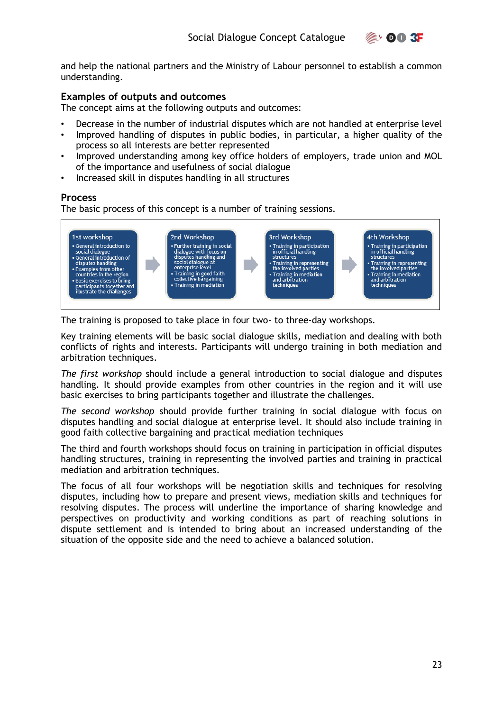

and help the national partners and the Ministry of Labour personnel to establish a common understanding.

#### **Examples of outputs and outcomes**

The concept aims at the following outputs and outcomes:

- Decrease in the number of industrial disputes which are not handled at enterprise level
- Improved handling of disputes in public bodies, in particular, a higher quality of the process so all interests are better represented
- Improved understanding among key office holders of employers, trade union and MOL of the importance and usefulness of social dialogue
- Increased skill in disputes handling in all structures

#### **Process**

The basic process of this concept is a number of training sessions.



The training is proposed to take place in four two- to three-day workshops.

Key training elements will be basic social dialogue skills, mediation and dealing with both conflicts of rights and interests. Participants will undergo training in both mediation and arbitration techniques.

*The first workshop* should include a general introduction to social dialogue and disputes handling. It should provide examples from other countries in the region and it will use basic exercises to bring participants together and illustrate the challenges.

*The second workshop* should provide further training in social dialogue with focus on disputes handling and social dialogue at enterprise level. It should also include training in good faith collective bargaining and practical mediation techniques

The third and fourth workshops should focus on training in participation in official disputes handling structures, training in representing the involved parties and training in practical mediation and arbitration techniques.

The focus of all four workshops will be negotiation skills and techniques for resolving disputes, including how to prepare and present views, mediation skills and techniques for resolving disputes. The process will underline the importance of sharing knowledge and perspectives on productivity and working conditions as part of reaching solutions in dispute settlement and is intended to bring about an increased understanding of the situation of the opposite side and the need to achieve a balanced solution.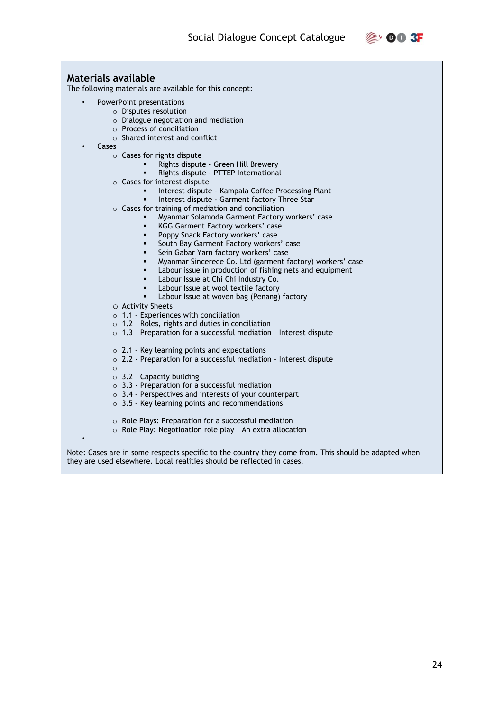

#### **Materials available**  The following materials are available for this concept: • PowerPoint presentations o Disputes resolution o Dialogue negotiation and mediation o Process of conciliation o Shared interest and conflict • Cases o Cases for rights dispute Rights dispute - Green Hill Brewery Rights dispute - PTTEP International o Cases for interest dispute ■ Interest dispute - Kampala Coffee Processing Plant Interest dispute - Garment factory Three Star o Cases for training of mediation and conciliation Myanmar Solamoda Garment Factory workers' case KGG Garment Factory workers' case Poppy Snack Factory workers' case **EXECT:** South Bay Garment Factory workers' case ▪ Sein Gabar Yarn factory workers' case Myanmar Sincerece Co. Ltd (garment factory) workers' case Labour issue in production of fishing nets and equipment Labour Issue at Chi Chi Industry Co. Labour Issue at wool textile factory Labour Issue at woven bag (Penang) factory o Activity Sheets  $\circ$  1.1 - Experiences with conciliation o 1.2 – Roles, rights and duties in conciliation o 1.3 – Preparation for a successful mediation – Interest dispute o 2.1 – Key learning points and expectations o 2.2 - Preparation for a successful mediation – Interest dispute o  $\circ$  3.2 - Capacity building o 3.3 - Preparation for a successful mediation o 3.4 – Perspectives and interests of your counterpart  $\circ$  3.5 - Key learning points and recommendations o Role Plays: Preparation for a successful mediation o Role Play: Negotioation role play – An extra allocation • Note: Cases are in some respects specific to the country they come from. This should be adapted when they are used elsewhere. Local realities should be reflected in cases.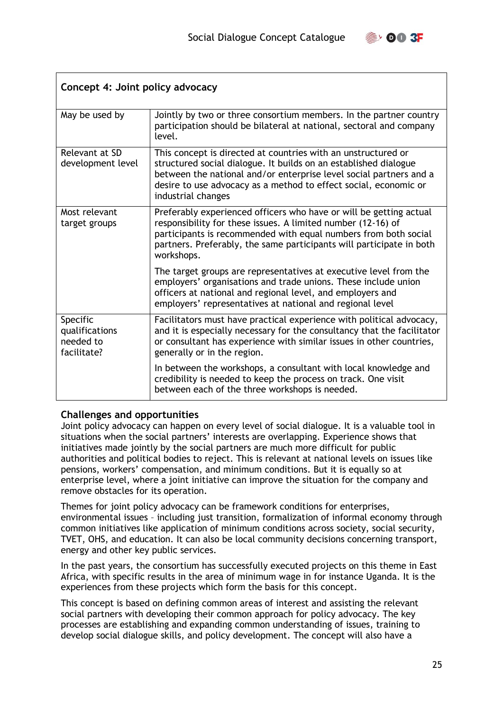

<span id="page-24-0"></span>

| Concept 4: Joint policy advocacy                       |                                                                                                                                                                                                                                                                                                   |  |
|--------------------------------------------------------|---------------------------------------------------------------------------------------------------------------------------------------------------------------------------------------------------------------------------------------------------------------------------------------------------|--|
| May be used by                                         | Jointly by two or three consortium members. In the partner country<br>participation should be bilateral at national, sectoral and company<br>level.                                                                                                                                               |  |
| Relevant at SD<br>development level                    | This concept is directed at countries with an unstructured or<br>structured social dialogue. It builds on an established dialogue<br>between the national and/or enterprise level social partners and a<br>desire to use advocacy as a method to effect social, economic or<br>industrial changes |  |
| Most relevant<br>target groups                         | Preferably experienced officers who have or will be getting actual<br>responsibility for these issues. A limited number (12-16) of<br>participants is recommended with equal numbers from both social<br>partners. Preferably, the same participants will participate in both<br>workshops.       |  |
|                                                        | The target groups are representatives at executive level from the<br>employers' organisations and trade unions. These include union<br>officers at national and regional level, and employers and<br>employers' representatives at national and regional level                                    |  |
| Specific<br>qualifications<br>needed to<br>facilitate? | Facilitators must have practical experience with political advocacy,<br>and it is especially necessary for the consultancy that the facilitator<br>or consultant has experience with similar issues in other countries,<br>generally or in the region.                                            |  |
|                                                        | In between the workshops, a consultant with local knowledge and<br>credibility is needed to keep the process on track. One visit<br>between each of the three workshops is needed.                                                                                                                |  |

#### **Challenges and opportunities**

Joint policy advocacy can happen on every level of social dialogue. It is a valuable tool in situations when the social partners' interests are overlapping. Experience shows that initiatives made jointly by the social partners are much more difficult for public authorities and political bodies to reject. This is relevant at national levels on issues like pensions, workers' compensation, and minimum conditions. But it is equally so at enterprise level, where a joint initiative can improve the situation for the company and remove obstacles for its operation.

Themes for joint policy advocacy can be framework conditions for enterprises, environmental issues – including just transition, formalization of informal economy through common initiatives like application of minimum conditions across society, social security, TVET, OHS, and education. It can also be local community decisions concerning transport, energy and other key public services.

In the past years, the consortium has successfully executed projects on this theme in East Africa, with specific results in the area of minimum wage in for instance Uganda. It is the experiences from these projects which form the basis for this concept.

This concept is based on defining common areas of interest and assisting the relevant social partners with developing their common approach for policy advocacy. The key processes are establishing and expanding common understanding of issues, training to develop social dialogue skills, and policy development. The concept will also have a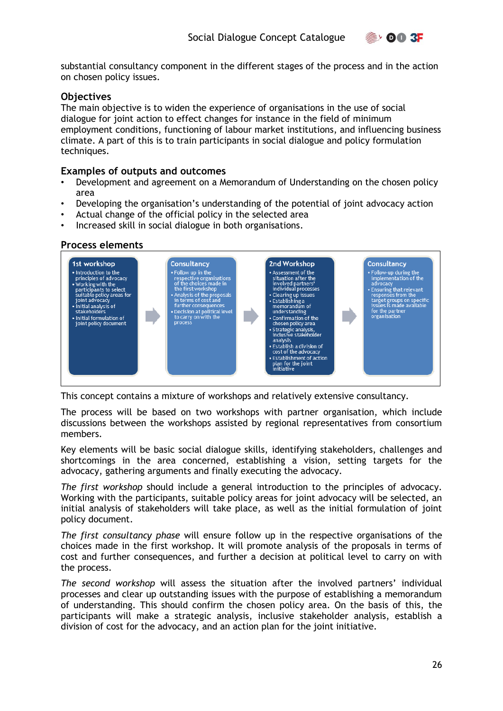

substantial consultancy component in the different stages of the process and in the action on chosen policy issues.

#### **Objectives**

The main objective is to widen the experience of organisations in the use of social dialogue for joint action to effect changes for instance in the field of minimum employment conditions, functioning of labour market institutions, and influencing business climate. A part of this is to train participants in social dialogue and policy formulation techniques.

#### **Examples of outputs and outcomes**

- Development and agreement on a Memorandum of Understanding on the chosen policy area
- Developing the organisation's understanding of the potential of joint advocacy action
- Actual change of the official policy in the selected area
- Increased skill in social dialogue in both organisations.

#### **Process elements**



This concept contains a mixture of workshops and relatively extensive consultancy.

The process will be based on two workshops with partner organisation, which include discussions between the workshops assisted by regional representatives from consortium members.

Key elements will be basic social dialogue skills, identifying stakeholders, challenges and shortcomings in the area concerned, establishing a vision, setting targets for the advocacy, gathering arguments and finally executing the advocacy.

*The first workshop* should include a general introduction to the principles of advocacy. Working with the participants, suitable policy areas for joint advocacy will be selected, an initial analysis of stakeholders will take place, as well as the initial formulation of joint policy document.

*The first consultancy phase* will ensure follow up in the respective organisations of the choices made in the first workshop. It will promote analysis of the proposals in terms of cost and further consequences, and further a decision at political level to carry on with the process.

*The second workshop* will assess the situation after the involved partners' individual processes and clear up outstanding issues with the purpose of establishing a memorandum of understanding. This should confirm the chosen policy area. On the basis of this, the participants will make a strategic analysis, inclusive stakeholder analysis, establish a division of cost for the advocacy, and an action plan for the joint initiative.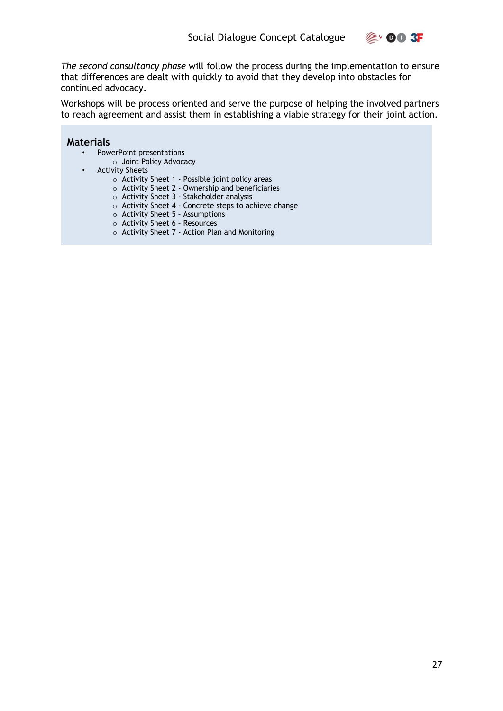

*The second consultancy phase* will follow the process during the implementation to ensure that differences are dealt with quickly to avoid that they develop into obstacles for continued advocacy.

Workshops will be process oriented and serve the purpose of helping the involved partners to reach agreement and assist them in establishing a viable strategy for their joint action.

**Contract** 

|                                     | <b>Materials</b>                                            |  |
|-------------------------------------|-------------------------------------------------------------|--|
|                                     | PowerPoint presentations<br>$\bullet$                       |  |
|                                     |                                                             |  |
|                                     | ○ Joint Policy Advocacy                                     |  |
| <b>Activity Sheets</b><br>$\bullet$ |                                                             |  |
|                                     | $\circ$ Activity Sheet 1 - Possible joint policy areas      |  |
|                                     | o Activity Sheet 2 - Ownership and beneficiaries            |  |
|                                     | $\circ$ Activity Sheet 3 - Stakeholder analysis             |  |
|                                     | $\circ$ Activity Sheet 4 - Concrete steps to achieve change |  |
|                                     | $\circ$ Activity Sheet 5 - Assumptions                      |  |
|                                     | ○ Activity Sheet 6 - Resources                              |  |
|                                     | $\circ$ Activity Sheet 7 - Action Plan and Monitoring       |  |
|                                     |                                                             |  |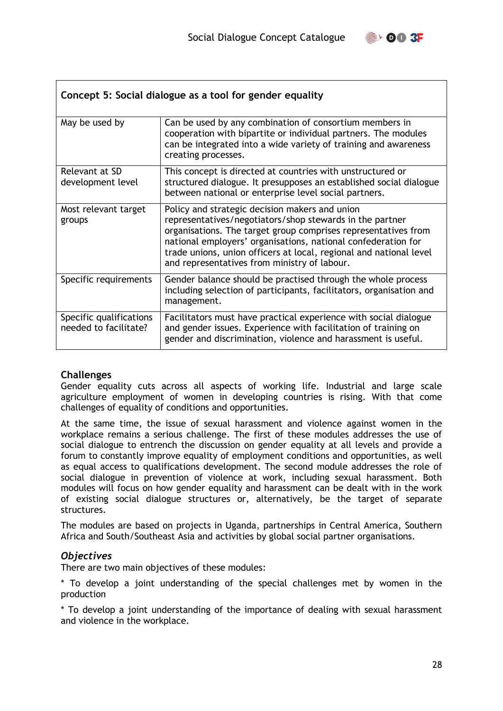

<span id="page-27-0"></span>

| Concept 5: Social dialogue as a tool for gender equality |                                                                                                                                                                                                                                                                                                                                                                     |  |
|----------------------------------------------------------|---------------------------------------------------------------------------------------------------------------------------------------------------------------------------------------------------------------------------------------------------------------------------------------------------------------------------------------------------------------------|--|
| May be used by                                           | Can be used by any combination of consortium members in<br>cooperation with bipartite or individual partners. The modules<br>can be integrated into a wide variety of training and awareness<br>creating processes.                                                                                                                                                 |  |
| Relevant at SD<br>development level                      | This concept is directed at countries with unstructured or<br>structured dialogue. It presupposes an established social dialogue<br>between national or enterprise level social partners.                                                                                                                                                                           |  |
| Most relevant target<br>groups                           | Policy and strategic decision makers and union<br>representatives/negotiators/shop stewards in the partner<br>organisations. The target group comprises representatives from<br>national employers' organisations, national confederation for<br>trade unions, union officers at local, regional and national level<br>and representatives from ministry of labour. |  |
| Specific requirements                                    | Gender balance should be practised through the whole process<br>including selection of participants, facilitators, organisation and<br>management.                                                                                                                                                                                                                  |  |
| Specific qualifications<br>needed to facilitate?         | Facilitators must have practical experience with social dialogue<br>and gender issues. Experience with facilitation of training on<br>gender and discrimination, violence and harassment is useful.                                                                                                                                                                 |  |

#### **Challenges**

Gender equality cuts across all aspects of working life. Industrial and large scale agriculture employment of women in developing countries is rising. With that come challenges of equality of conditions and opportunities.

At the same time, the issue of sexual harassment and violence against women in the workplace remains a serious challenge. The first of these modules addresses the use of social dialogue to entrench the discussion on gender equality at all levels and provide a forum to constantly improve equality of employment conditions and opportunities, as well as equal access to qualifications development. The second module addresses the role of social dialogue in prevention of violence at work, including sexual harassment. Both modules will focus on how gender equality and harassment can be dealt with in the work of existing social dialogue structures or, alternatively, be the target of separate structures.

The modules are based on projects in Uganda, partnerships in Central America, Southern Africa and South/Southeast Asia and activities by global social partner organisations.

#### *Objectives*

There are two main objectives of these modules:

\* To develop a joint understanding of the special challenges met by women in the production

\* To develop a joint understanding of the importance of dealing with sexual harassment and violence in the workplace.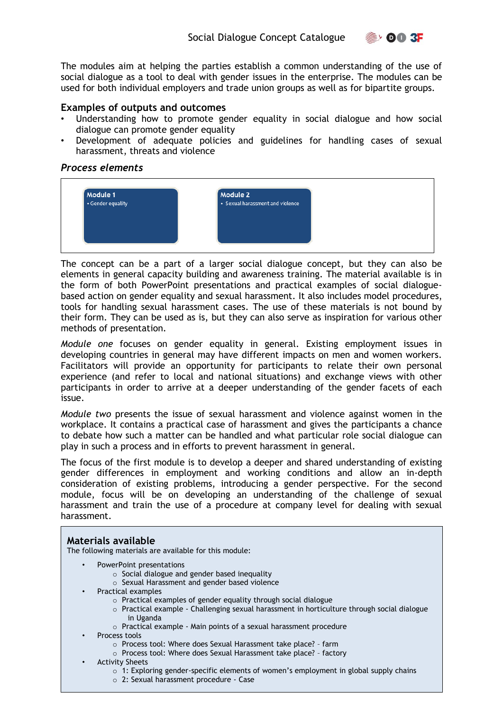$\mathbb{R}$ , 00 3F

The modules aim at helping the parties establish a common understanding of the use of social dialogue as a tool to deal with gender issues in the enterprise. The modules can be used for both individual employers and trade union groups as well as for bipartite groups.

#### **Examples of outputs and outcomes**

- Understanding how to promote gender equality in social dialogue and how social dialogue can promote gender equality
- Development of adequate policies and guidelines for handling cases of sexual harassment, threats and violence

#### *Process elements*



The concept can be a part of a larger social dialogue concept, but they can also be elements in general capacity building and awareness training. The material available is in the form of both PowerPoint presentations and practical examples of social dialoguebased action on gender equality and sexual harassment. It also includes model procedures, tools for handling sexual harassment cases. The use of these materials is not bound by their form. They can be used as is, but they can also serve as inspiration for various other methods of presentation.

*Module one* focuses on gender equality in general. Existing employment issues in developing countries in general may have different impacts on men and women workers. Facilitators will provide an opportunity for participants to relate their own personal experience (and refer to local and national situations) and exchange views with other participants in order to arrive at a deeper understanding of the gender facets of each issue.

*Module two* presents the issue of sexual harassment and violence against women in the workplace. It contains a practical case of harassment and gives the participants a chance to debate how such a matter can be handled and what particular role social dialogue can play in such a process and in efforts to prevent harassment in general.

The focus of the first module is to develop a deeper and shared understanding of existing gender differences in employment and working conditions and allow an in-depth consideration of existing problems, introducing a gender perspective. For the second module, focus will be on developing an understanding of the challenge of sexual harassment and train the use of a procedure at company level for dealing with sexual harassment.

#### **Materials available**

The following materials are available for this module:

- PowerPoint presentations
	- $\circ$  Social dialogue and gender based inequality
	- o Sexual Harassment and gender based violence
- Practical examples
	- o Practical examples of gender equality through social dialogue
	- o Practical example Challenging sexual harassment in horticulture through social dialogue in Uganda
	- o Practical example Main points of a sexual harassment procedure
- Process tools
	- o Process tool: Where does Sexual Harassment take place? farm
	- o Process tool: Where does Sexual Harassment take place? factory
- **Activity Sheets** 
	- $\circ$  1: Exploring gender-specific elements of women's employment in global supply chains
	- o 2: Sexual harassment procedure Case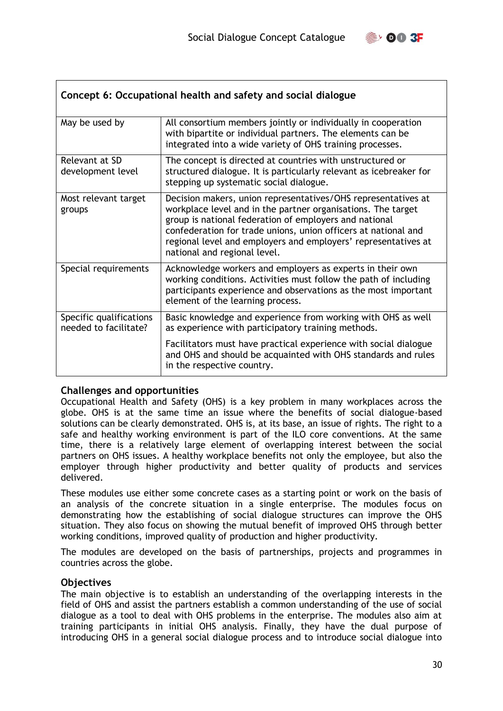

<span id="page-29-0"></span>

| Concept 6: Occupational health and safety and social dialogue |                                                                                                                                                                                                                                                                                                                                                             |  |
|---------------------------------------------------------------|-------------------------------------------------------------------------------------------------------------------------------------------------------------------------------------------------------------------------------------------------------------------------------------------------------------------------------------------------------------|--|
| May be used by                                                | All consortium members jointly or individually in cooperation<br>with bipartite or individual partners. The elements can be<br>integrated into a wide variety of OHS training processes.                                                                                                                                                                    |  |
| Relevant at SD<br>development level                           | The concept is directed at countries with unstructured or<br>structured dialogue. It is particularly relevant as icebreaker for<br>stepping up systematic social dialogue.                                                                                                                                                                                  |  |
| Most relevant target<br>groups                                | Decision makers, union representatives/OHS representatives at<br>workplace level and in the partner organisations. The target<br>group is national federation of employers and national<br>confederation for trade unions, union officers at national and<br>regional level and employers and employers' representatives at<br>national and regional level. |  |
| Special requirements                                          | Acknowledge workers and employers as experts in their own<br>working conditions. Activities must follow the path of including<br>participants experience and observations as the most important<br>element of the learning process.                                                                                                                         |  |
| Specific qualifications<br>needed to facilitate?              | Basic knowledge and experience from working with OHS as well<br>as experience with participatory training methods.                                                                                                                                                                                                                                          |  |
|                                                               | Facilitators must have practical experience with social dialogue<br>and OHS and should be acquainted with OHS standards and rules<br>in the respective country.                                                                                                                                                                                             |  |

#### **Challenges and opportunities**

Occupational Health and Safety (OHS) is a key problem in many workplaces across the globe. OHS is at the same time an issue where the benefits of social dialogue-based solutions can be clearly demonstrated. OHS is, at its base, an issue of rights. The right to a safe and healthy working environment is part of the ILO core conventions. At the same time, there is a relatively large element of overlapping interest between the social partners on OHS issues. A healthy workplace benefits not only the employee, but also the employer through higher productivity and better quality of products and services delivered.

These modules use either some concrete cases as a starting point or work on the basis of an analysis of the concrete situation in a single enterprise. The modules focus on demonstrating how the establishing of social dialogue structures can improve the OHS situation. They also focus on showing the mutual benefit of improved OHS through better working conditions, improved quality of production and higher productivity.

The modules are developed on the basis of partnerships, projects and programmes in countries across the globe.

#### **Objectives**

The main objective is to establish an understanding of the overlapping interests in the field of OHS and assist the partners establish a common understanding of the use of social dialogue as a tool to deal with OHS problems in the enterprise. The modules also aim at training participants in initial OHS analysis. Finally, they have the dual purpose of introducing OHS in a general social dialogue process and to introduce social dialogue into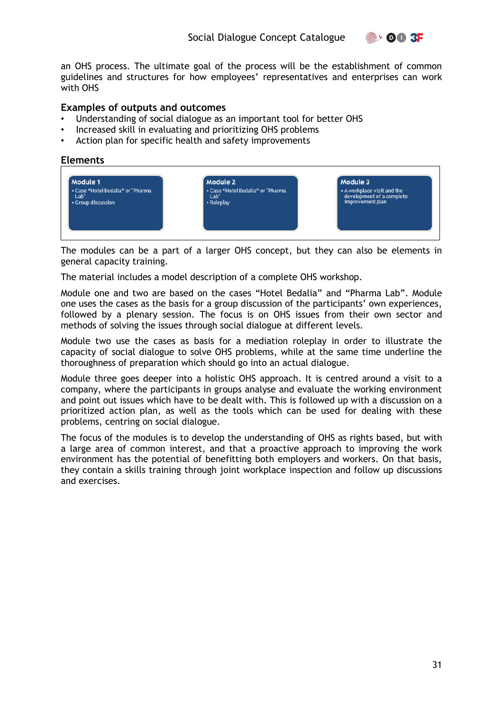

an OHS process. The ultimate goal of the process will be the establishment of common guidelines and structures for how employees' representatives and enterprises can work with OHS

#### **Examples of outputs and outcomes**

- Understanding of social dialogue as an important tool for better OHS
- Increased skill in evaluating and prioritizing OHS problems
- Action plan for specific health and safety improvements

#### **Elements**



The modules can be a part of a larger OHS concept, but they can also be elements in general capacity training.

The material includes a model description of a complete OHS workshop.

Module one and two are based on the cases "Hotel Bedalia" and "Pharma Lab". Module one uses the cases as the basis for a group discussion of the participants' own experiences, followed by a plenary session. The focus is on OHS issues from their own sector and methods of solving the issues through social dialogue at different levels.

Module two use the cases as basis for a mediation roleplay in order to illustrate the capacity of social dialogue to solve OHS problems, while at the same time underline the thoroughness of preparation which should go into an actual dialogue.

Module three goes deeper into a holistic OHS approach. It is centred around a visit to a company, where the participants in groups analyse and evaluate the working environment and point out issues which have to be dealt with. This is followed up with a discussion on a prioritized action plan, as well as the tools which can be used for dealing with these problems, centring on social dialogue.

The focus of the modules is to develop the understanding of OHS as rights based, but with a large area of common interest, and that a proactive approach to improving the work environment has the potential of benefitting both employers and workers. On that basis, they contain a skills training through joint workplace inspection and follow up discussions and exercises.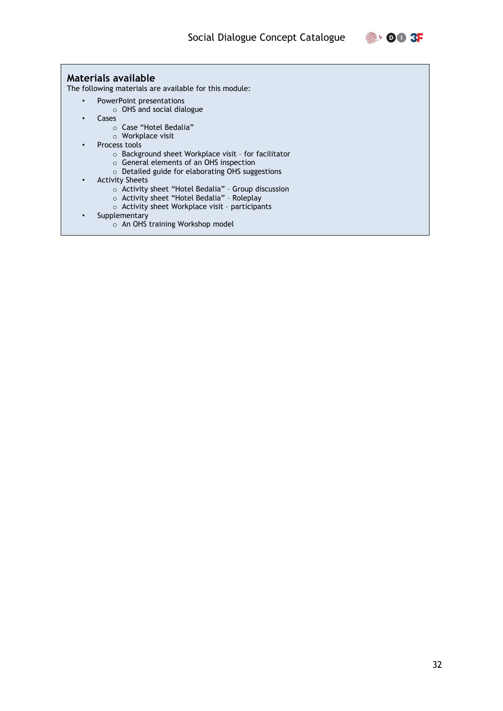

#### **Materials available**

The following materials are available for this module:

- PowerPoint presentations
	- o OHS and social dialogue
- Cases
	- o Case "Hotel Bedalia"
	- o Workplace visit
- Process tools
	- o Background sheet Workplace visit for facilitator
	- o General elements of an OHS inspection
	- o Detailed guide for elaborating OHS suggestions
- Activity Sheets
	- o Activity sheet "Hotel Bedalia" Group discussion
	- o Activity sheet "Hotel Bedalia" Roleplay
	- o Activity sheet Workplace visit participants
- **Supplementary** 
	- o An OHS training Workshop model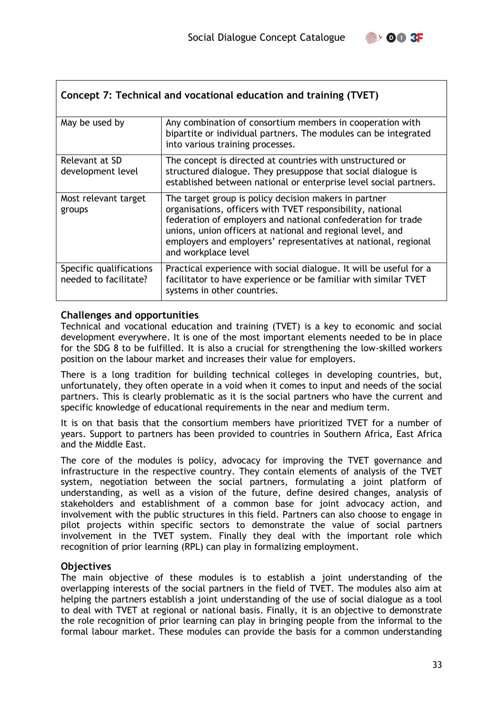

<span id="page-32-0"></span>

| Concept 7: Technical and vocational education and training (TVET) |                                                                                                                                                                                                                                                                                                                                            |  |
|-------------------------------------------------------------------|--------------------------------------------------------------------------------------------------------------------------------------------------------------------------------------------------------------------------------------------------------------------------------------------------------------------------------------------|--|
| May be used by                                                    | Any combination of consortium members in cooperation with<br>bipartite or individual partners. The modules can be integrated<br>into various training processes.                                                                                                                                                                           |  |
| Relevant at SD<br>development level                               | The concept is directed at countries with unstructured or<br>structured dialogue. They presuppose that social dialogue is<br>established between national or enterprise level social partners.                                                                                                                                             |  |
| Most relevant target<br>groups                                    | The target group is policy decision makers in partner<br>organisations, officers with TVET responsibility, national<br>federation of employers and national confederation for trade<br>unions, union officers at national and regional level, and<br>employers and employers' representatives at national, regional<br>and workplace level |  |
| Specific qualifications<br>needed to facilitate?                  | Practical experience with social dialogue. It will be useful for a<br>facilitator to have experience or be familiar with similar TVET<br>systems in other countries.                                                                                                                                                                       |  |

#### **Challenges and opportunities**

Technical and vocational education and training (TVET) is a key to economic and social development everywhere. It is one of the most important elements needed to be in place for the SDG 8 to be fulfilled. It is also a crucial for strengthening the low-skilled workers position on the labour market and increases their value for employers.

There is a long tradition for building technical colleges in developing countries, but, unfortunately, they often operate in a void when it comes to input and needs of the social partners. This is clearly problematic as it is the social partners who have the current and specific knowledge of educational requirements in the near and medium term.

It is on that basis that the consortium members have prioritized TVET for a number of years. Support to partners has been provided to countries in Southern Africa, East Africa and the Middle East.

The core of the modules is policy, advocacy for improving the TVET governance and infrastructure in the respective country. They contain elements of analysis of the TVET system, negotiation between the social partners, formulating a joint platform of understanding, as well as a vision of the future, define desired changes, analysis of stakeholders and establishment of a common base for joint advocacy action, and involvement with the public structures in this field. Partners can also choose to engage in pilot projects within specific sectors to demonstrate the value of social partners involvement in the TVET system. Finally they deal with the important role which recognition of prior learning (RPL) can play in formalizing employment.

#### **Objectives**

The main objective of these modules is to establish a joint understanding of the overlapping interests of the social partners in the field of TVET. The modules also aim at helping the partners establish a joint understanding of the use of social dialogue as a tool to deal with TVET at regional or national basis. Finally, it is an objective to demonstrate the role recognition of prior learning can play in bringing people from the informal to the formal labour market. These modules can provide the basis for a common understanding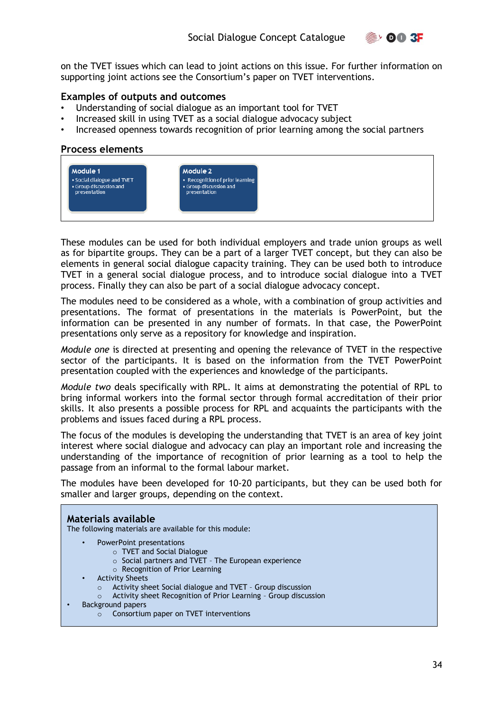

on the TVET issues which can lead to joint actions on this issue. For further information on supporting joint actions see the Consortium's paper on TVET interventions.

#### **Examples of outputs and outcomes**

- Understanding of social dialogue as an important tool for TVET
- Increased skill in using TVET as a social dialogue advocacy subject
- Increased openness towards recognition of prior learning among the social partners

#### **Process elements**



These modules can be used for both individual employers and trade union groups as well as for bipartite groups. They can be a part of a larger TVET concept, but they can also be elements in general social dialogue capacity training. They can be used both to introduce TVET in a general social dialogue process, and to introduce social dialogue into a TVET process. Finally they can also be part of a social dialogue advocacy concept.

The modules need to be considered as a whole, with a combination of group activities and presentations. The format of presentations in the materials is PowerPoint, but the information can be presented in any number of formats. In that case, the PowerPoint presentations only serve as a repository for knowledge and inspiration.

*Module one* is directed at presenting and opening the relevance of TVET in the respective sector of the participants. It is based on the information from the TVET PowerPoint presentation coupled with the experiences and knowledge of the participants.

*Module two* deals specifically with RPL. It aims at demonstrating the potential of RPL to bring informal workers into the formal sector through formal accreditation of their prior skills. It also presents a possible process for RPL and acquaints the participants with the problems and issues faced during a RPL process.

The focus of the modules is developing the understanding that TVET is an area of key joint interest where social dialogue and advocacy can play an important role and increasing the understanding of the importance of recognition of prior learning as a tool to help the passage from an informal to the formal labour market.

The modules have been developed for 10-20 participants, but they can be used both for smaller and larger groups, depending on the context.

#### **Materials available**  The following materials are available for this module:

• PowerPoint presentations

- o TVET and Social Dialogue
	- o Social partners and TVET The European experience
	- o Recognition of Prior Learning
- Activity Sheets
	- o Activity sheet Social dialogue and TVET Group discussion
	- o Activity sheet Recognition of Prior Learning Group discussion
- Background papers
	- $\circ$  Consortium paper on TVET interventions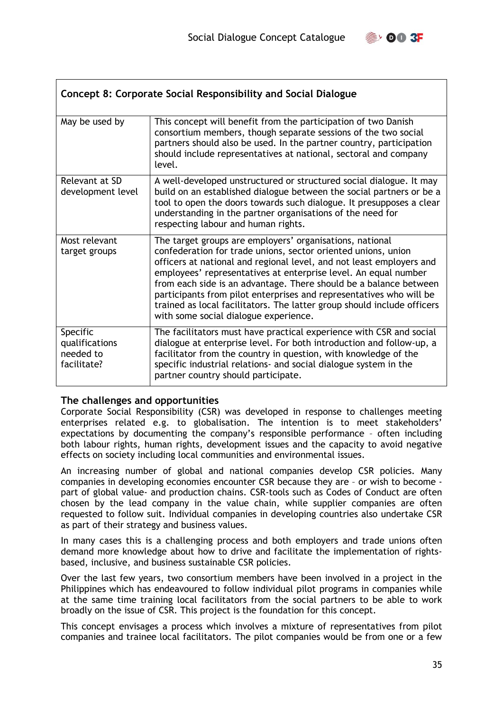

<span id="page-34-0"></span>

| Concept 8: Corporate Social Responsibility and Social Dialogue |                                                                                                                                                                                                                                                                                                                                                                                                                                                                                                                                      |  |
|----------------------------------------------------------------|--------------------------------------------------------------------------------------------------------------------------------------------------------------------------------------------------------------------------------------------------------------------------------------------------------------------------------------------------------------------------------------------------------------------------------------------------------------------------------------------------------------------------------------|--|
| May be used by                                                 | This concept will benefit from the participation of two Danish<br>consortium members, though separate sessions of the two social<br>partners should also be used. In the partner country, participation<br>should include representatives at national, sectoral and company<br>level.                                                                                                                                                                                                                                                |  |
| Relevant at SD<br>development level                            | A well-developed unstructured or structured social dialogue. It may<br>build on an established dialogue between the social partners or be a<br>tool to open the doors towards such dialogue. It presupposes a clear<br>understanding in the partner organisations of the need for<br>respecting labour and human rights.                                                                                                                                                                                                             |  |
| Most relevant<br>target groups                                 | The target groups are employers' organisations, national<br>confederation for trade unions, sector oriented unions, union<br>officers at national and regional level, and not least employers and<br>employees' representatives at enterprise level. An equal number<br>from each side is an advantage. There should be a balance between<br>participants from pilot enterprises and representatives who will be<br>trained as local facilitators. The latter group should include officers<br>with some social dialogue experience. |  |
| Specific<br>qualifications<br>needed to<br>facilitate?         | The facilitators must have practical experience with CSR and social<br>dialogue at enterprise level. For both introduction and follow-up, a<br>facilitator from the country in question, with knowledge of the<br>specific industrial relations- and social dialogue system in the<br>partner country should participate.                                                                                                                                                                                                            |  |

#### **The challenges and opportunities**

Corporate Social Responsibility (CSR) was developed in response to challenges meeting enterprises related e.g. to globalisation. The intention is to meet stakeholders' expectations by documenting the company's responsible performance – often including both labour rights, human rights, development issues and the capacity to avoid negative effects on society including local communities and environmental issues.

An increasing number of global and national companies develop CSR policies. Many companies in developing economies encounter CSR because they are – or wish to become part of global value- and production chains. CSR-tools such as Codes of Conduct are often chosen by the lead company in the value chain, while supplier companies are often requested to follow suit. Individual companies in developing countries also undertake CSR as part of their strategy and business values.

In many cases this is a challenging process and both employers and trade unions often demand more knowledge about how to drive and facilitate the implementation of rightsbased, inclusive, and business sustainable CSR policies.

Over the last few years, two consortium members have been involved in a project in the Philippines which has endeavoured to follow individual pilot programs in companies while at the same time training local facilitators from the social partners to be able to work broadly on the issue of CSR. This project is the foundation for this concept.

This concept envisages a process which involves a mixture of representatives from pilot companies and trainee local facilitators. The pilot companies would be from one or a few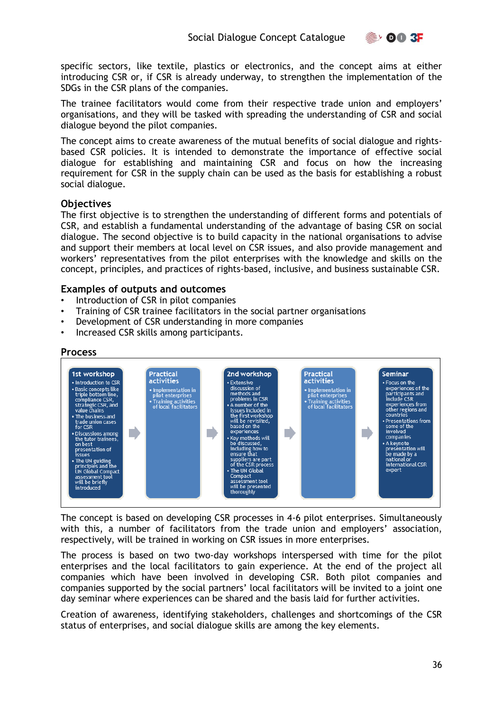specific sectors, like textile, plastics or electronics, and the concept aims at either introducing CSR or, if CSR is already underway, to strengthen the implementation of the SDGs in the CSR plans of the companies.

The trainee facilitators would come from their respective trade union and employers' organisations, and they will be tasked with spreading the understanding of CSR and social dialogue beyond the pilot companies.

The concept aims to create awareness of the mutual benefits of social dialogue and rightsbased CSR policies. It is intended to demonstrate the importance of effective social dialogue for establishing and maintaining CSR and focus on how the increasing requirement for CSR in the supply chain can be used as the basis for establishing a robust social dialogue.

#### **Objectives**

The first objective is to strengthen the understanding of different forms and potentials of CSR, and establish a fundamental understanding of the advantage of basing CSR on social dialogue. The second objective is to build capacity in the national organisations to advise and support their members at local level on CSR issues, and also provide management and workers' representatives from the pilot enterprises with the knowledge and skills on the concept, principles, and practices of rights-based, inclusive, and business sustainable CSR.

#### **Examples of outputs and outcomes**

- Introduction of CSR in pilot companies
- Training of CSR trainee facilitators in the social partner organisations
- Development of CSR understanding in more companies
- Increased CSR skills among participants.

#### **Process**



The concept is based on developing CSR processes in 4-6 pilot enterprises. Simultaneously with this, a number of facilitators from the trade union and employers' association, respectively, will be trained in working on CSR issues in more enterprises.

The process is based on two two-day workshops interspersed with time for the pilot enterprises and the local facilitators to gain experience. At the end of the project all companies which have been involved in developing CSR. Both pilot companies and companies supported by the social partners' local facilitators will be invited to a joint one day seminar where experiences can be shared and the basis laid for further activities.

Creation of awareness, identifying stakeholders, challenges and shortcomings of the CSR status of enterprises, and social dialogue skills are among the key elements.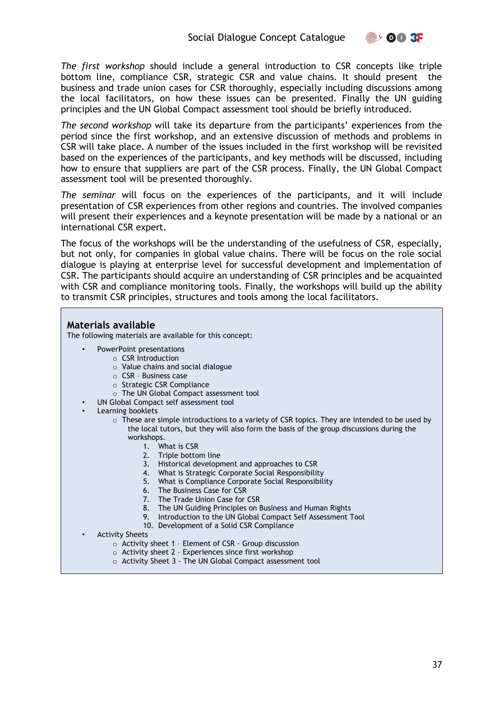**OO 3F** 

*The first workshop* should include a general introduction to CSR concepts like triple bottom line, compliance CSR, strategic CSR and value chains. It should present the business and trade union cases for CSR thoroughly, especially including discussions among the local facilitators, on how these issues can be presented. Finally the UN guiding principles and the UN Global Compact assessment tool should be briefly introduced.

*The second workshop* will take its departure from the participants' experiences from the period since the first workshop, and an extensive discussion of methods and problems in CSR will take place. A number of the issues included in the first workshop will be revisited based on the experiences of the participants, and key methods will be discussed, including how to ensure that suppliers are part of the CSR process. Finally, the UN Global Compact assessment tool will be presented thoroughly.

*The seminar* will focus on the experiences of the participants, and it will include presentation of CSR experiences from other regions and countries. The involved companies will present their experiences and a keynote presentation will be made by a national or an international CSR expert.

The focus of the workshops will be the understanding of the usefulness of CSR, especially, but not only, for companies in global value chains. There will be focus on the role social dialogue is playing at enterprise level for successful development and implementation of CSR. The participants should acquire an understanding of CSR principles and be acquainted with CSR and compliance monitoring tools. Finally, the workshops will build up the ability to transmit CSR principles, structures and tools among the local facilitators.

#### **Materials available**

The following materials are available for this concept:

- PowerPoint presentations
	- o CSR Introduction
	- o Value chains and social dialogue
	- o CSR Business case
	- o Strategic CSR Compliance
	- o The UN Global Compact assessment tool
- UN Global Compact self assessment tool
- Learning booklets
	- $\circ$  These are simple introductions to a variety of CSR topics. They are intended to be used by the local tutors, but they will also form the basis of the group discussions during the workshops.
		- 1. What is CSR
		- 2. Triple bottom line
		- 3. Historical development and approaches to CSR
		- 4. What is Strategic Corporate Social Responsibility
		- 5. What is Compliance Corporate Social Responsibility
		- 6. The Business Case for CSR
		- 7. The Trade Union Case for CSR
		- 8. The UN Guiding Principles on Business and Human Rights
		- 9. Introduction to the UN Global Compact Self Assessment Tool
		- 10. Development of a Solid CSR Compliance
- Activity Sheets
	- o Activity sheet 1 Element of CSR Group discussion
	- o Activity sheet 2 Experiences since first workshop
	- o Activity Sheet 3 The UN Global Compact assessment tool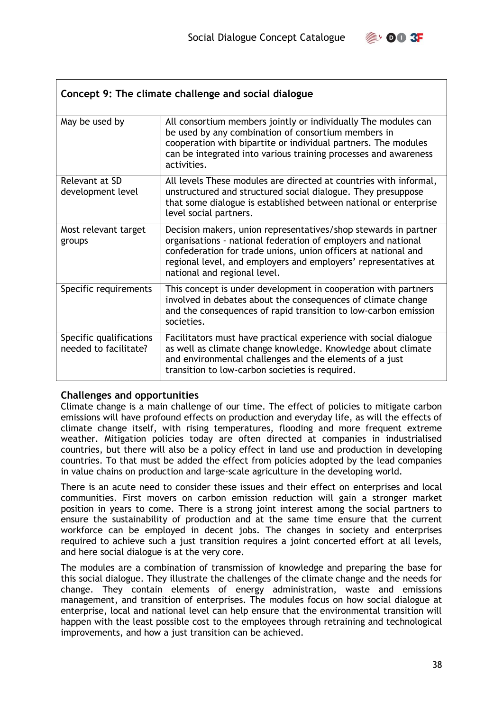

<span id="page-37-0"></span>

| Concept 9: The climate challenge and social dialogue |                                                                                                                                                                                                                                                                                                       |  |
|------------------------------------------------------|-------------------------------------------------------------------------------------------------------------------------------------------------------------------------------------------------------------------------------------------------------------------------------------------------------|--|
| May be used by                                       | All consortium members jointly or individually The modules can<br>be used by any combination of consortium members in<br>cooperation with bipartite or individual partners. The modules<br>can be integrated into various training processes and awareness<br>activities.                             |  |
| Relevant at SD<br>development level                  | All levels These modules are directed at countries with informal,<br>unstructured and structured social dialogue. They presuppose<br>that some dialogue is established between national or enterprise<br>level social partners.                                                                       |  |
| Most relevant target<br>groups                       | Decision makers, union representatives/shop stewards in partner<br>organisations - national federation of employers and national<br>confederation for trade unions, union officers at national and<br>regional level, and employers and employers' representatives at<br>national and regional level. |  |
| Specific requirements                                | This concept is under development in cooperation with partners<br>involved in debates about the consequences of climate change<br>and the consequences of rapid transition to low-carbon emission<br>societies.                                                                                       |  |
| Specific qualifications<br>needed to facilitate?     | Facilitators must have practical experience with social dialogue<br>as well as climate change knowledge. Knowledge about climate<br>and environmental challenges and the elements of a just<br>transition to low-carbon societies is required.                                                        |  |

#### **Challenges and opportunities**

Climate change is a main challenge of our time. The effect of policies to mitigate carbon emissions will have profound effects on production and everyday life, as will the effects of climate change itself, with rising temperatures, flooding and more frequent extreme weather. Mitigation policies today are often directed at companies in industrialised countries, but there will also be a policy effect in land use and production in developing countries. To that must be added the effect from policies adopted by the lead companies in value chains on production and large-scale agriculture in the developing world.

There is an acute need to consider these issues and their effect on enterprises and local communities. First movers on carbon emission reduction will gain a stronger market position in years to come. There is a strong joint interest among the social partners to ensure the sustainability of production and at the same time ensure that the current workforce can be employed in decent jobs. The changes in society and enterprises required to achieve such a just transition requires a joint concerted effort at all levels, and here social dialogue is at the very core.

The modules are a combination of transmission of knowledge and preparing the base for this social dialogue. They illustrate the challenges of the climate change and the needs for change. They contain elements of energy administration, waste and emissions management, and transition of enterprises. The modules focus on how social dialogue at enterprise, local and national level can help ensure that the environmental transition will happen with the least possible cost to the employees through retraining and technological improvements, and how a just transition can be achieved.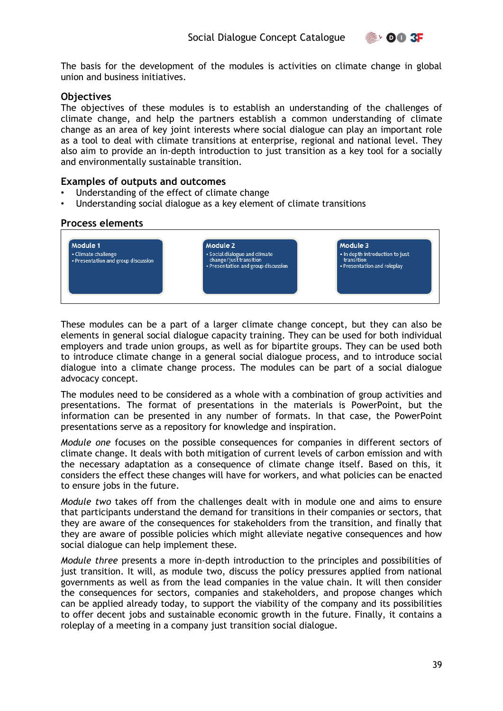

The basis for the development of the modules is activities on climate change in global union and business initiatives.

#### **Objectives**

The objectives of these modules is to establish an understanding of the challenges of climate change, and help the partners establish a common understanding of climate change as an area of key joint interests where social dialogue can play an important role as a tool to deal with climate transitions at enterprise, regional and national level. They also aim to provide an in-depth introduction to just transition as a key tool for a socially and environmentally sustainable transition.

#### **Examples of outputs and outcomes**

- Understanding of the effect of climate change
- Understanding social dialogue as a key element of climate transitions

#### **Process elements**



These modules can be a part of a larger climate change concept, but they can also be elements in general social dialogue capacity training. They can be used for both individual employers and trade union groups, as well as for bipartite groups. They can be used both to introduce climate change in a general social dialogue process, and to introduce social dialogue into a climate change process. The modules can be part of a social dialogue advocacy concept.

The modules need to be considered as a whole with a combination of group activities and presentations. The format of presentations in the materials is PowerPoint, but the information can be presented in any number of formats. In that case, the PowerPoint presentations serve as a repository for knowledge and inspiration.

*Module one* focuses on the possible consequences for companies in different sectors of climate change. It deals with both mitigation of current levels of carbon emission and with the necessary adaptation as a consequence of climate change itself. Based on this, it considers the effect these changes will have for workers, and what policies can be enacted to ensure jobs in the future.

*Module two* takes off from the challenges dealt with in module one and aims to ensure that participants understand the demand for transitions in their companies or sectors, that they are aware of the consequences for stakeholders from the transition, and finally that they are aware of possible policies which might alleviate negative consequences and how social dialogue can help implement these.

*Module three* presents a more in-depth introduction to the principles and possibilities of just transition. It will, as module two, discuss the policy pressures applied from national governments as well as from the lead companies in the value chain. It will then consider the consequences for sectors, companies and stakeholders, and propose changes which can be applied already today, to support the viability of the company and its possibilities to offer decent jobs and sustainable economic growth in the future. Finally, it contains a roleplay of a meeting in a company just transition social dialogue.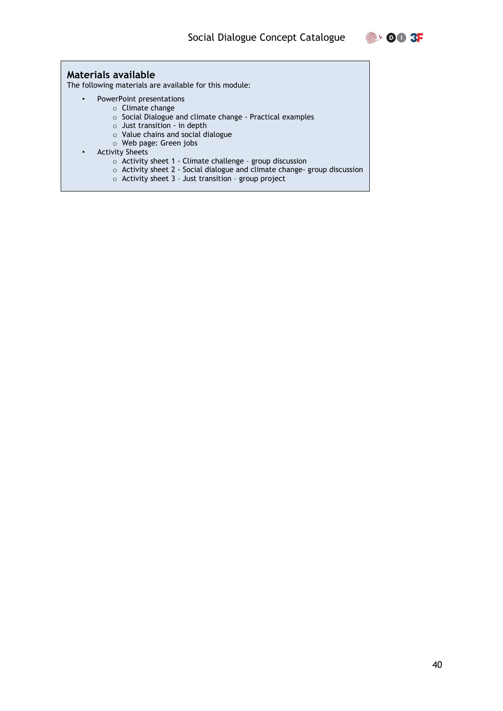

#### **Materials available**

The following materials are available for this module:

- PowerPoint presentations
	- o Climate change
		- o Social Dialogue and climate change Practical examples
		- o Just transition in depth
		- o Value chains and social dialogue
	- o Web page: Green jobs
- Activity Sheets
	- $\circ$  Activity sheet 1 Climate challenge group discussion
	- o Activity sheet 2 Social dialogue and climate change- group discussion
	- $\circ$  Activity sheet 3 Just transition group project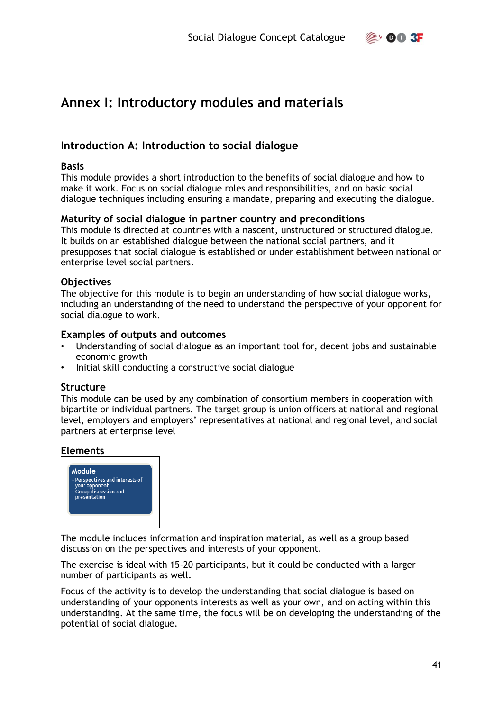$\mathbb{R}$ , 00 3F

# <span id="page-40-0"></span>**Annex I: Introductory modules and materials**

#### <span id="page-40-1"></span>**Introduction A: Introduction to social dialogue**

#### **Basis**

This module provides a short introduction to the benefits of social dialogue and how to make it work. Focus on social dialogue roles and responsibilities, and on basic social dialogue techniques including ensuring a mandate, preparing and executing the dialogue.

#### **Maturity of social dialogue in partner country and preconditions**

This module is directed at countries with a nascent, unstructured or structured dialogue. It builds on an established dialogue between the national social partners, and it presupposes that social dialogue is established or under establishment between national or enterprise level social partners.

#### **Objectives**

The objective for this module is to begin an understanding of how social dialogue works, including an understanding of the need to understand the perspective of your opponent for social dialogue to work.

#### **Examples of outputs and outcomes**

- Understanding of social dialogue as an important tool for, decent jobs and sustainable economic growth
- Initial skill conducting a constructive social dialogue

#### **Structure**

This module can be used by any combination of consortium members in cooperation with bipartite or individual partners. The target group is union officers at national and regional level, employers and employers' representatives at national and regional level, and social partners at enterprise level

#### **Elements**



The module includes information and inspiration material, as well as a group based discussion on the perspectives and interests of your opponent.

The exercise is ideal with 15-20 participants, but it could be conducted with a larger number of participants as well.

Focus of the activity is to develop the understanding that social dialogue is based on understanding of your opponents interests as well as your own, and on acting within this understanding. At the same time, the focus will be on developing the understanding of the potential of social dialogue.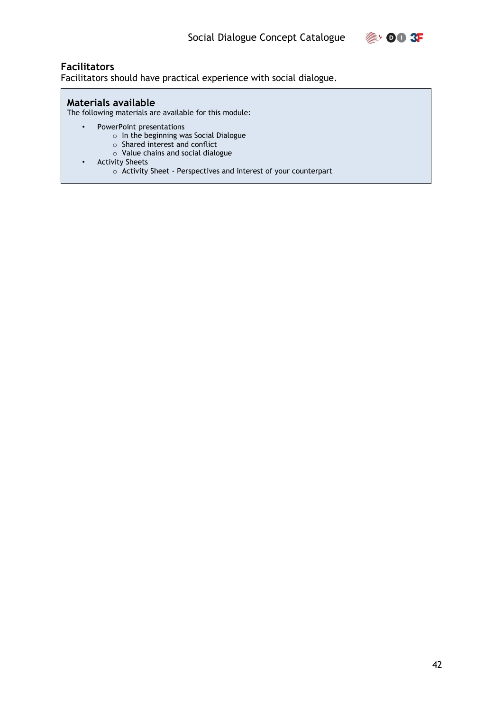

#### **Facilitators**

Facilitators should have practical experience with social dialogue.

#### **Materials available**

The following materials are available for this module:

- PowerPoint presentations
	- o In the beginning was Social Dialogue
	- o Shared interest and conflict
	- o Value chains and social dialogue
- Activity Sheets
	- o Activity Sheet Perspectives and interest of your counterpart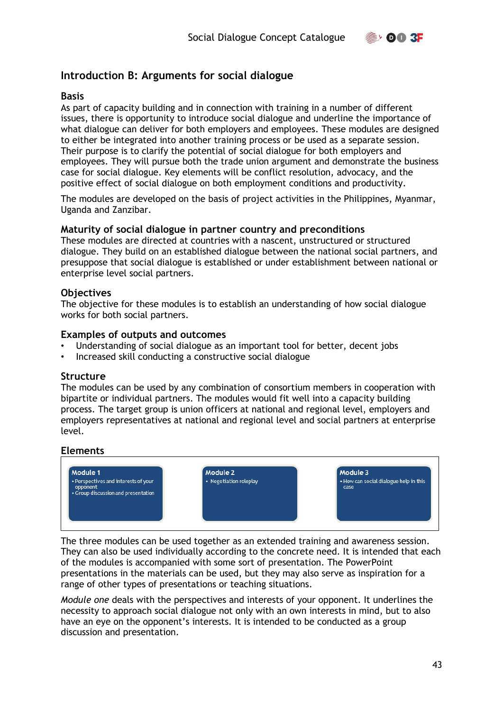

#### <span id="page-42-0"></span>**Introduction B: Arguments for social dialogue**

#### **Basis**

As part of capacity building and in connection with training in a number of different issues, there is opportunity to introduce social dialogue and underline the importance of what dialogue can deliver for both employers and employees. These modules are designed to either be integrated into another training process or be used as a separate session. Their purpose is to clarify the potential of social dialogue for both employers and employees. They will pursue both the trade union argument and demonstrate the business case for social dialogue. Key elements will be conflict resolution, advocacy, and the positive effect of social dialogue on both employment conditions and productivity.

The modules are developed on the basis of project activities in the Philippines, Myanmar, Uganda and Zanzibar.

#### **Maturity of social dialogue in partner country and preconditions**

These modules are directed at countries with a nascent, unstructured or structured dialogue. They build on an established dialogue between the national social partners, and presuppose that social dialogue is established or under establishment between national or enterprise level social partners.

#### **Objectives**

The objective for these modules is to establish an understanding of how social dialogue works for both social partners.

#### **Examples of outputs and outcomes**

- Understanding of social dialogue as an important tool for better, decent jobs
- Increased skill conducting a constructive social dialogue

#### **Structure**

The modules can be used by any combination of consortium members in cooperation with bipartite or individual partners. The modules would fit well into a capacity building process. The target group is union officers at national and regional level, employers and employers representatives at national and regional level and social partners at enterprise level.

#### **Elements**



The three modules can be used together as an extended training and awareness session. They can also be used individually according to the concrete need. It is intended that each of the modules is accompanied with some sort of presentation. The PowerPoint presentations in the materials can be used, but they may also serve as inspiration for a range of other types of presentations or teaching situations.

*Module one* deals with the perspectives and interests of your opponent. It underlines the necessity to approach social dialogue not only with an own interests in mind, but to also have an eye on the opponent's interests. It is intended to be conducted as a group discussion and presentation.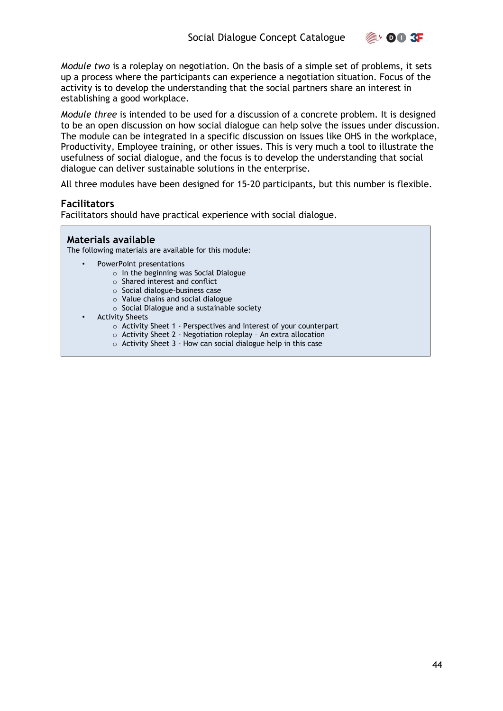

*Module two* is a roleplay on negotiation. On the basis of a simple set of problems, it sets up a process where the participants can experience a negotiation situation. Focus of the activity is to develop the understanding that the social partners share an interest in establishing a good workplace.

*Module three* is intended to be used for a discussion of a concrete problem. It is designed to be an open discussion on how social dialogue can help solve the issues under discussion. The module can be integrated in a specific discussion on issues like OHS in the workplace, Productivity, Employee training, or other issues. This is very much a tool to illustrate the usefulness of social dialogue, and the focus is to develop the understanding that social dialogue can deliver sustainable solutions in the enterprise.

All three modules have been designed for 15-20 participants, but this number is flexible.

#### **Facilitators**

Facilitators should have practical experience with social dialogue.

#### **Materials available**

The following materials are available for this module:

- PowerPoint presentations
	- o In the beginning was Social Dialogue
	- o Shared interest and conflict
	- o Social dialogue-business case
	- o Value chains and social dialogue
	- o Social Dialogue and a sustainable society
	- Activity Sheets
		- o Activity Sheet 1 Perspectives and interest of your counterpart
		- o Activity Sheet 2 Negotiation roleplay An extra allocation
		- o Activity Sheet 3 How can social dialogue help in this case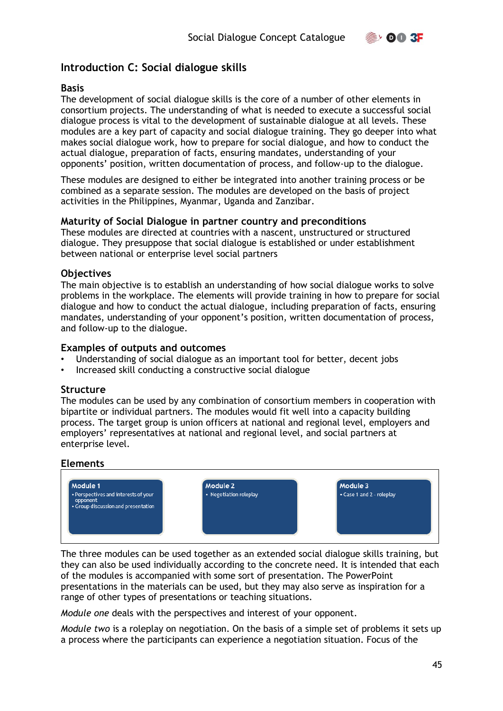

#### <span id="page-44-0"></span>**Introduction C: Social dialogue skills**

#### **Basis**

The development of social dialogue skills is the core of a number of other elements in consortium projects. The understanding of what is needed to execute a successful social dialogue process is vital to the development of sustainable dialogue at all levels. These modules are a key part of capacity and social dialogue training. They go deeper into what makes social dialogue work, how to prepare for social dialogue, and how to conduct the actual dialogue, preparation of facts, ensuring mandates, understanding of your opponents' position, written documentation of process, and follow-up to the dialogue.

These modules are designed to either be integrated into another training process or be combined as a separate session. The modules are developed on the basis of project activities in the Philippines, Myanmar, Uganda and Zanzibar.

#### **Maturity of Social Dialogue in partner country and preconditions**

These modules are directed at countries with a nascent, unstructured or structured dialogue. They presuppose that social dialogue is established or under establishment between national or enterprise level social partners

#### **Objectives**

The main objective is to establish an understanding of how social dialogue works to solve problems in the workplace. The elements will provide training in how to prepare for social dialogue and how to conduct the actual dialogue, including preparation of facts, ensuring mandates, understanding of your opponent's position, written documentation of process, and follow-up to the dialogue.

#### **Examples of outputs and outcomes**

- Understanding of social dialogue as an important tool for better, decent jobs
- Increased skill conducting a constructive social dialogue

#### **Structure**

The modules can be used by any combination of consortium members in cooperation with bipartite or individual partners. The modules would fit well into a capacity building process. The target group is union officers at national and regional level, employers and employers' representatives at national and regional level, and social partners at enterprise level.

#### **Elements**



The three modules can be used together as an extended social dialogue skills training, but they can also be used individually according to the concrete need. It is intended that each of the modules is accompanied with some sort of presentation. The PowerPoint presentations in the materials can be used, but they may also serve as inspiration for a range of other types of presentations or teaching situations.

*Module one* deals with the perspectives and interest of your opponent.

*Module two* is a roleplay on negotiation. On the basis of a simple set of problems it sets up a process where the participants can experience a negotiation situation. Focus of the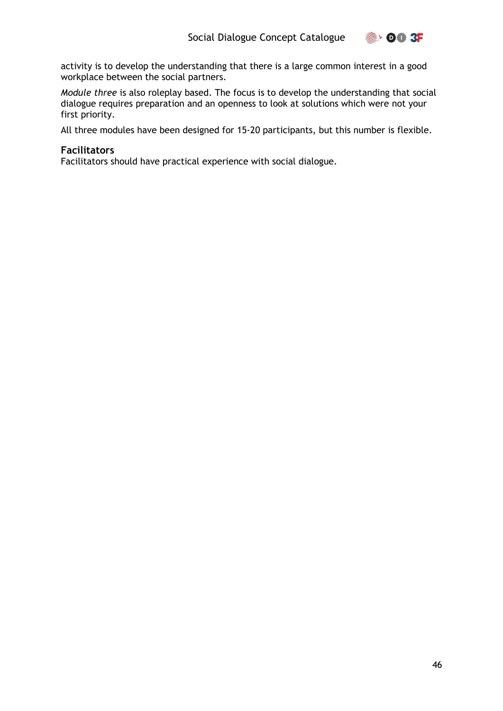

activity is to develop the understanding that there is a large common interest in a good workplace between the social partners.

*Module three* is also roleplay based. The focus is to develop the understanding that social dialogue requires preparation and an openness to look at solutions which were not your first priority.

All three modules have been designed for 15-20 participants, but this number is flexible.

#### **Facilitators**

Facilitators should have practical experience with social dialogue.